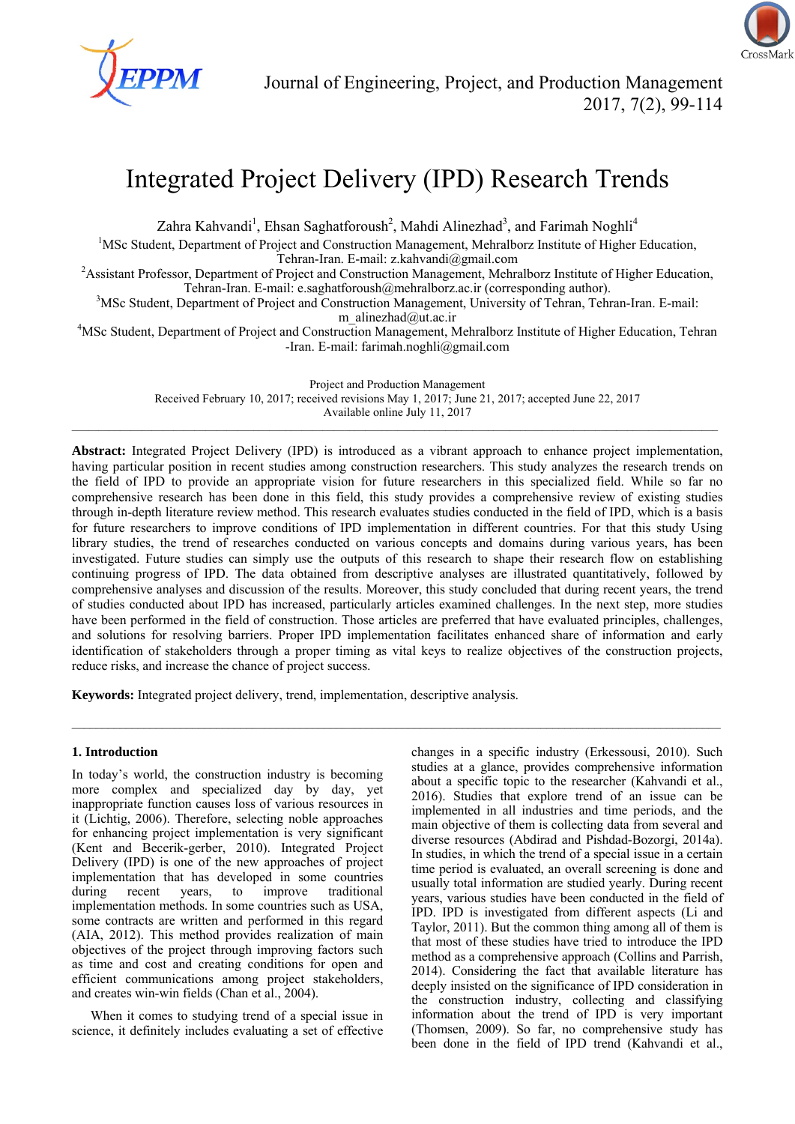

# Integrated Project Delivery (IPD) Research Trends

Zahra Kahvandi<sup>1</sup>, Ehsan Saghatforoush<sup>2</sup>, Mahdi Alinezhad<sup>3</sup>, and Farimah Noghli<sup>4</sup>

<sup>1</sup>MSc Student, Department of Project and Construction Management, Mehralborz Institute of Higher Education,

Tehran-Iran. E-mail: z.kahvandi@gmail.com<br><sup>2</sup>Assistant Professor, Department of Project and Construction Management, Mehralborz Institute of Higher Education, Tehran-Iran. E-mail: e.saghatforoush@mehralborz.ac.ir (corresponding author). 3

<sup>3</sup>MSc Student, Department of Project and Construction Management, University of Tehran, Tehran-Iran. E-mail:

m\_alinezhad@ut.ac.ir<br><sup>4</sup>MSc Student, Department of Project and Construction Management, Mehralborz Institute of Higher Education, Tehran -Iran. E-mail: farimah.noghli@gmail.com

> Project and Production Management Received February 10, 2017; received revisions May 1, 2017; June 21, 2017; accepted June 22, 2017 Available online July 11, 2017

 $\_$  , and the state of the state of the state of the state of the state of the state of the state of the state of the state of the state of the state of the state of the state of the state of the state of the state of the

**Abstract:** Integrated Project Delivery (IPD) is introduced as a vibrant approach to enhance project implementation, having particular position in recent studies among construction researchers. This study analyzes the research trends on the field of IPD to provide an appropriate vision for future researchers in this specialized field. While so far no comprehensive research has been done in this field, this study provides a comprehensive review of existing studies through in-depth literature review method. This research evaluates studies conducted in the field of IPD, which is a basis for future researchers to improve conditions of IPD implementation in different countries. For that this study Using library studies, the trend of researches conducted on various concepts and domains during various years, has been investigated. Future studies can simply use the outputs of this research to shape their research flow on establishing continuing progress of IPD. The data obtained from descriptive analyses are illustrated quantitatively, followed by comprehensive analyses and discussion of the results. Moreover, this study concluded that during recent years, the trend of studies conducted about IPD has increased, particularly articles examined challenges. In the next step, more studies have been performed in the field of construction. Those articles are preferred that have evaluated principles, challenges, and solutions for resolving barriers. Proper IPD implementation facilitates enhanced share of information and early identification of stakeholders through a proper timing as vital keys to realize objectives of the construction projects, reduce risks, and increase the chance of project success.

**Keywords:** Integrated project delivery, trend, implementation, descriptive analysis.

## **1. Introduction**

In today's world, the construction industry is becoming more complex and specialized day by day, yet inappropriate function causes loss of various resources in it (Lichtig, 2006). Therefore, selecting noble approaches for enhancing project implementation is very significant (Kent and Becerik-gerber, 2010). Integrated Project Delivery (IPD) is one of the new approaches of project implementation that has developed in some countries during recent years, to improve traditional implementation methods. In some countries such as USA, some contracts are written and performed in this regard (AIA, 2012). This method provides realization of main objectives of the project through improving factors such as time and cost and creating conditions for open and efficient communications among project stakeholders, and creates win-win fields (Chan et al., 2004).

When it comes to studying trend of a special issue in science, it definitely includes evaluating a set of effective changes in a specific industry (Erkessousi, 2010). Such studies at a glance, provides comprehensive information about a specific topic to the researcher (Kahvandi et al., 2016). Studies that explore trend of an issue can be implemented in all industries and time periods, and the main objective of them is collecting data from several and diverse resources (Abdirad and Pishdad-Bozorgi, 2014a). In studies, in which the trend of a special issue in a certain time period is evaluated, an overall screening is done and usually total information are studied yearly. During recent years, various studies have been conducted in the field of IPD. IPD is investigated from different aspects (Li and Taylor, 2011). But the common thing among all of them is that most of these studies have tried to introduce the IPD method as a comprehensive approach (Collins and Parrish, 2014). Considering the fact that available literature has deeply insisted on the significance of IPD consideration in the construction industry, collecting and classifying information about the trend of IPD is very important (Thomsen, 2009). So far, no comprehensive study has been done in the field of IPD trend (Kahvandi et al.,

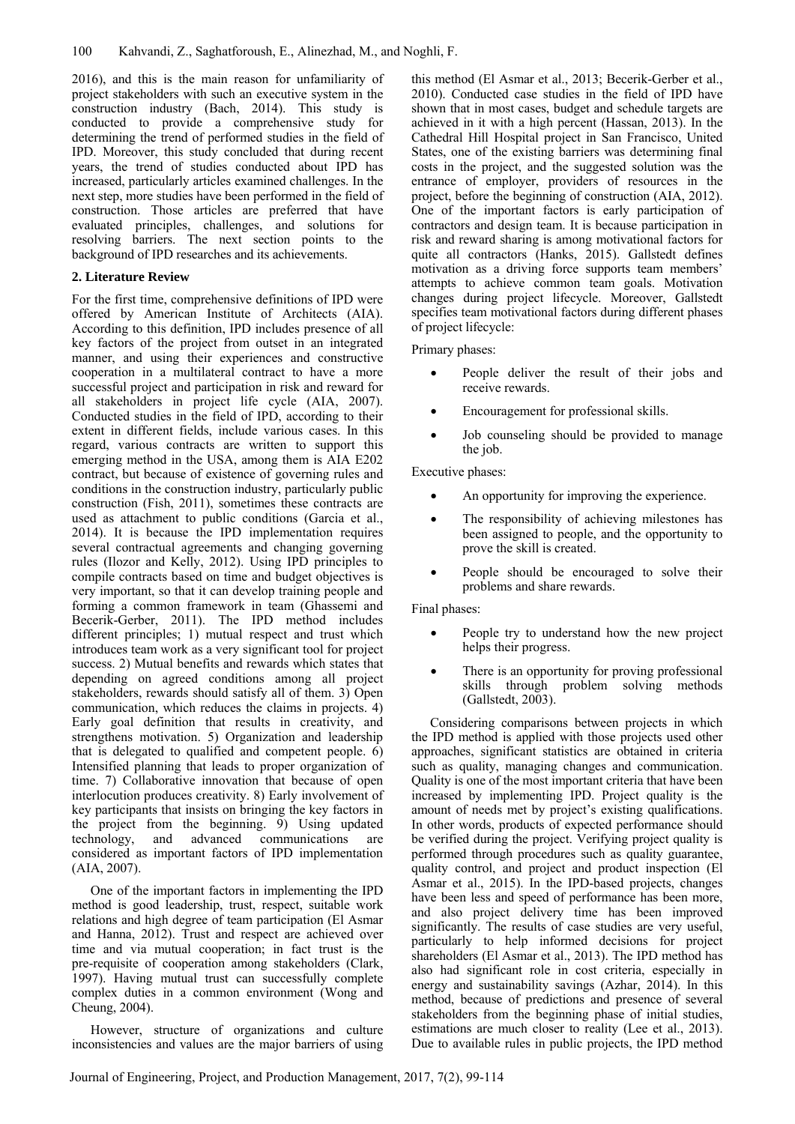2016), and this is the main reason for unfamiliarity of project stakeholders with such an executive system in the construction industry (Bach, 2014). This study is conducted to provide a comprehensive study for determining the trend of performed studies in the field of IPD. Moreover, this study concluded that during recent years, the trend of studies conducted about IPD has increased, particularly articles examined challenges. In the next step, more studies have been performed in the field of construction. Those articles are preferred that have evaluated principles, challenges, and solutions for resolving barriers. The next section points to the background of IPD researches and its achievements.

## **2. Literature Review**

For the first time, comprehensive definitions of IPD were offered by American Institute of Architects (AIA). According to this definition, IPD includes presence of all key factors of the project from outset in an integrated manner, and using their experiences and constructive cooperation in a multilateral contract to have a more successful project and participation in risk and reward for all stakeholders in project life cycle (AIA, 2007). Conducted studies in the field of IPD, according to their extent in different fields, include various cases. In this regard, various contracts are written to support this emerging method in the USA, among them is AIA E202 contract, but because of existence of governing rules and conditions in the construction industry, particularly public construction (Fish, 2011), sometimes these contracts are used as attachment to public conditions (Garcia et al., 2014). It is because the IPD implementation requires several contractual agreements and changing governing rules (Ilozor and Kelly, 2012). Using IPD principles to compile contracts based on time and budget objectives is very important, so that it can develop training people and forming a common framework in team (Ghassemi and Becerik-Gerber, 2011). The IPD method includes different principles; 1) mutual respect and trust which introduces team work as a very significant tool for project success. 2) Mutual benefits and rewards which states that depending on agreed conditions among all project stakeholders, rewards should satisfy all of them. 3) Open communication, which reduces the claims in projects. 4) Early goal definition that results in creativity, and strengthens motivation. 5) Organization and leadership that is delegated to qualified and competent people. 6) Intensified planning that leads to proper organization of time. 7) Collaborative innovation that because of open interlocution produces creativity. 8) Early involvement of key participants that insists on bringing the key factors in the project from the beginning. 9) Using updated technology, and advanced communications are considered as important factors of IPD implementation (AIA, 2007).

One of the important factors in implementing the IPD method is good leadership, trust, respect, suitable work relations and high degree of team participation (El Asmar and Hanna, 2012). Trust and respect are achieved over time and via mutual cooperation; in fact trust is the pre-requisite of cooperation among stakeholders (Clark, 1997). Having mutual trust can successfully complete complex duties in a common environment (Wong and Cheung, 2004).

However, structure of organizations and culture inconsistencies and values are the major barriers of using this method (El Asmar et al., 2013; Becerik-Gerber et al., 2010). Conducted case studies in the field of IPD have shown that in most cases, budget and schedule targets are achieved in it with a high percent (Hassan, 2013). In the Cathedral Hill Hospital project in San Francisco, United States, one of the existing barriers was determining final costs in the project, and the suggested solution was the entrance of employer, providers of resources in the project, before the beginning of construction (AIA, 2012). One of the important factors is early participation of contractors and design team. It is because participation in risk and reward sharing is among motivational factors for quite all contractors (Hanks, 2015). Gallstedt defines motivation as a driving force supports team members' attempts to achieve common team goals. Motivation changes during project lifecycle. Moreover, Gallstedt specifies team motivational factors during different phases of project lifecycle:

### Primary phases:

- People deliver the result of their jobs and receive rewards.
- Encouragement for professional skills.
- Job counseling should be provided to manage the job.

Executive phases:

- An opportunity for improving the experience.
- The responsibility of achieving milestones has been assigned to people, and the opportunity to prove the skill is created.
- People should be encouraged to solve their problems and share rewards.

Final phases:

- People try to understand how the new project helps their progress.
- There is an opportunity for proving professional skills through problem solving methods (Gallstedt, 2003).

Considering comparisons between projects in which the IPD method is applied with those projects used other approaches, significant statistics are obtained in criteria such as quality, managing changes and communication. Quality is one of the most important criteria that have been increased by implementing IPD. Project quality is the amount of needs met by project's existing qualifications. In other words, products of expected performance should be verified during the project. Verifying project quality is performed through procedures such as quality guarantee, quality control, and project and product inspection (El Asmar et al., 2015). In the IPD-based projects, changes have been less and speed of performance has been more, and also project delivery time has been improved significantly. The results of case studies are very useful, particularly to help informed decisions for project shareholders (El Asmar et al., 2013). The IPD method has also had significant role in cost criteria, especially in energy and sustainability savings (Azhar, 2014). In this method, because of predictions and presence of several stakeholders from the beginning phase of initial studies, estimations are much closer to reality (Lee et al., 2013). Due to available rules in public projects, the IPD method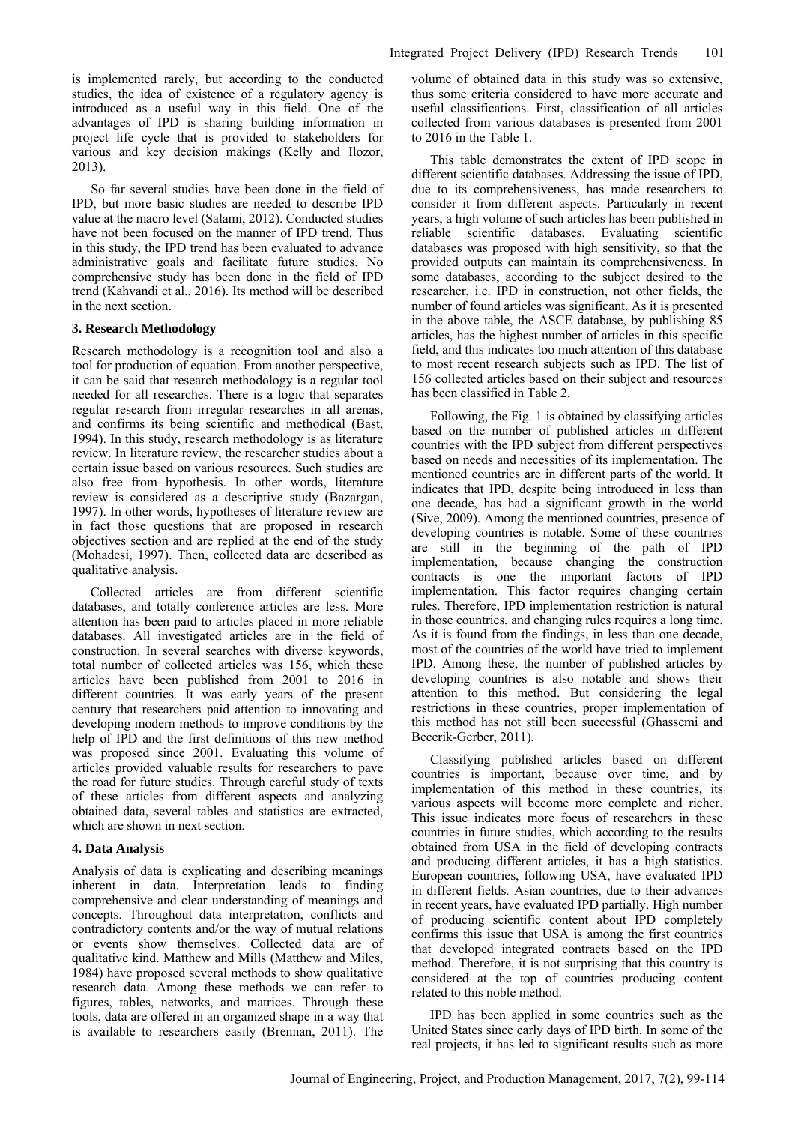is implemented rarely, but according to the conducted studies, the idea of existence of a regulatory agency is introduced as a useful way in this field. One of the advantages of IPD is sharing building information in project life cycle that is provided to stakeholders for various and key decision makings (Kelly and Ilozor, 2013).

So far several studies have been done in the field of IPD, but more basic studies are needed to describe IPD value at the macro level (Salami, 2012). Conducted studies have not been focused on the manner of IPD trend. Thus in this study, the IPD trend has been evaluated to advance administrative goals and facilitate future studies. No comprehensive study has been done in the field of IPD trend (Kahvandi et al., 2016). Its method will be described in the next section.

#### **3. Research Methodology**

Research methodology is a recognition tool and also a tool for production of equation. From another perspective, it can be said that research methodology is a regular tool needed for all researches. There is a logic that separates regular research from irregular researches in all arenas, and confirms its being scientific and methodical (Bast, 1994). In this study, research methodology is as literature review. In literature review, the researcher studies about a certain issue based on various resources. Such studies are also free from hypothesis. In other words, literature review is considered as a descriptive study (Bazargan, 1997). In other words, hypotheses of literature review are in fact those questions that are proposed in research objectives section and are replied at the end of the study (Mohadesi, 1997). Then, collected data are described as qualitative analysis.

Collected articles are from different scientific databases, and totally conference articles are less. More attention has been paid to articles placed in more reliable databases. All investigated articles are in the field of construction. In several searches with diverse keywords, total number of collected articles was 156, which these articles have been published from 2001 to 2016 in different countries. It was early years of the present century that researchers paid attention to innovating and developing modern methods to improve conditions by the help of IPD and the first definitions of this new method was proposed since 2001. Evaluating this volume of articles provided valuable results for researchers to pave the road for future studies. Through careful study of texts of these articles from different aspects and analyzing obtained data, several tables and statistics are extracted, which are shown in next section.

#### **4. Data Analysis**

Analysis of data is explicating and describing meanings inherent in data. Interpretation leads to finding comprehensive and clear understanding of meanings and concepts. Throughout data interpretation, conflicts and contradictory contents and/or the way of mutual relations or events show themselves. Collected data are of qualitative kind. Matthew and Mills (Matthew and Miles, 1984) have proposed several methods to show qualitative research data. Among these methods we can refer to figures, tables, networks, and matrices. Through these tools, data are offered in an organized shape in a way that is available to researchers easily (Brennan, 2011). The volume of obtained data in this study was so extensive, thus some criteria considered to have more accurate and useful classifications. First, classification of all articles collected from various databases is presented from 2001 to 2016 in the Table 1.

This table demonstrates the extent of IPD scope in different scientific databases. Addressing the issue of IPD, due to its comprehensiveness, has made researchers to consider it from different aspects. Particularly in recent years, a high volume of such articles has been published in reliable scientific databases. Evaluating scientific databases was proposed with high sensitivity, so that the provided outputs can maintain its comprehensiveness. In some databases, according to the subject desired to the researcher, i.e. IPD in construction, not other fields, the number of found articles was significant. As it is presented in the above table, the ASCE database, by publishing 85 articles, has the highest number of articles in this specific field, and this indicates too much attention of this database to most recent research subjects such as IPD. The list of 156 collected articles based on their subject and resources has been classified in Table 2.

Following, the Fig. 1 is obtained by classifying articles based on the number of published articles in different countries with the IPD subject from different perspectives based on needs and necessities of its implementation. The mentioned countries are in different parts of the world. It indicates that IPD, despite being introduced in less than one decade, has had a significant growth in the world (Sive, 2009). Among the mentioned countries, presence of developing countries is notable. Some of these countries are still in the beginning of the path of IPD implementation, because changing the construction contracts is one the important factors of IPD implementation. This factor requires changing certain rules. Therefore, IPD implementation restriction is natural in those countries, and changing rules requires a long time. As it is found from the findings, in less than one decade, most of the countries of the world have tried to implement IPD. Among these, the number of published articles by developing countries is also notable and shows their attention to this method. But considering the legal restrictions in these countries, proper implementation of this method has not still been successful (Ghassemi and Becerik-Gerber, 2011).

Classifying published articles based on different countries is important, because over time, and by implementation of this method in these countries, its various aspects will become more complete and richer. This issue indicates more focus of researchers in these countries in future studies, which according to the results obtained from USA in the field of developing contracts and producing different articles, it has a high statistics. European countries, following USA, have evaluated IPD in different fields. Asian countries, due to their advances in recent years, have evaluated IPD partially. High number of producing scientific content about IPD completely confirms this issue that USA is among the first countries that developed integrated contracts based on the IPD method. Therefore, it is not surprising that this country is considered at the top of countries producing content related to this noble method.

IPD has been applied in some countries such as the United States since early days of IPD birth. In some of the real projects, it has led to significant results such as more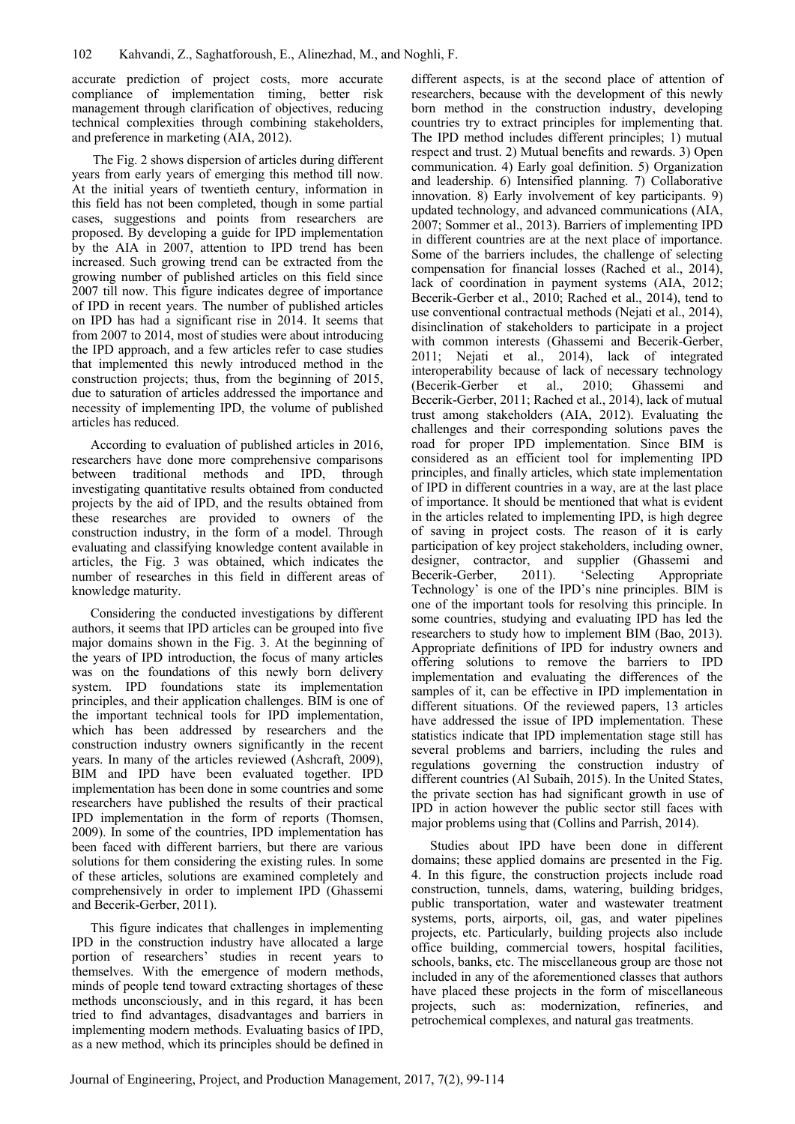accurate prediction of project costs, more accurate compliance of implementation timing, better risk management through clarification of objectives, reducing technical complexities through combining stakeholders, and preference in marketing (AIA, 2012).

The Fig. 2 shows dispersion of articles during different years from early years of emerging this method till now. At the initial years of twentieth century, information in this field has not been completed, though in some partial cases, suggestions and points from researchers are proposed. By developing a guide for IPD implementation by the AIA in 2007, attention to IPD trend has been increased. Such growing trend can be extracted from the growing number of published articles on this field since 2007 till now. This figure indicates degree of importance of IPD in recent years. The number of published articles on IPD has had a significant rise in 2014. It seems that from 2007 to 2014, most of studies were about introducing the IPD approach, and a few articles refer to case studies that implemented this newly introduced method in the construction projects; thus, from the beginning of 2015, due to saturation of articles addressed the importance and necessity of implementing IPD, the volume of published articles has reduced.

According to evaluation of published articles in 2016, researchers have done more comprehensive comparisons between traditional methods and IPD, through investigating quantitative results obtained from conducted projects by the aid of IPD, and the results obtained from these researches are provided to owners of the construction industry, in the form of a model. Through evaluating and classifying knowledge content available in articles, the Fig. 3 was obtained, which indicates the number of researches in this field in different areas of knowledge maturity.

Considering the conducted investigations by different authors, it seems that IPD articles can be grouped into five major domains shown in the Fig. 3. At the beginning of the years of IPD introduction, the focus of many articles was on the foundations of this newly born delivery system. IPD foundations state its implementation principles, and their application challenges. BIM is one of the important technical tools for IPD implementation, which has been addressed by researchers and the construction industry owners significantly in the recent years. In many of the articles reviewed (Ashcraft, 2009), BIM and IPD have been evaluated together. IPD implementation has been done in some countries and some researchers have published the results of their practical IPD implementation in the form of reports (Thomsen, 2009). In some of the countries, IPD implementation has been faced with different barriers, but there are various solutions for them considering the existing rules. In some of these articles, solutions are examined completely and comprehensively in order to implement IPD (Ghassemi and Becerik-Gerber, 2011).

This figure indicates that challenges in implementing IPD in the construction industry have allocated a large portion of researchers' studies in recent years to themselves. With the emergence of modern methods, minds of people tend toward extracting shortages of these methods unconsciously, and in this regard, it has been tried to find advantages, disadvantages and barriers in implementing modern methods. Evaluating basics of IPD, as a new method, which its principles should be defined in different aspects, is at the second place of attention of researchers, because with the development of this newly born method in the construction industry, developing countries try to extract principles for implementing that. The IPD method includes different principles; 1) mutual respect and trust. 2) Mutual benefits and rewards. 3) Open communication. 4) Early goal definition. 5) Organization and leadership. 6) Intensified planning. 7) Collaborative innovation. 8) Early involvement of key participants. 9) updated technology, and advanced communications (AIA, 2007; Sommer et al., 2013). Barriers of implementing IPD in different countries are at the next place of importance. Some of the barriers includes, the challenge of selecting compensation for financial losses (Rached et al., 2014), lack of coordination in payment systems (AIA, 2012; Becerik-Gerber et al., 2010; Rached et al., 2014), tend to use conventional contractual methods (Nejati et al., 2014), disinclination of stakeholders to participate in a project with common interests (Ghassemi and Becerik-Gerber, 2011; Nejati et al., 2014), lack of integrated interoperability because of lack of necessary technology (Becerik-Gerber et al., 2010; Ghassemi and Becerik-Gerber, 2011; Rached et al., 2014), lack of mutual trust among stakeholders (AIA, 2012). Evaluating the challenges and their corresponding solutions paves the road for proper IPD implementation. Since BIM is considered as an efficient tool for implementing IPD principles, and finally articles, which state implementation of IPD in different countries in a way, are at the last place of importance. It should be mentioned that what is evident in the articles related to implementing IPD, is high degree of saving in project costs. The reason of it is early participation of key project stakeholders, including owner, designer, contractor, and supplier (Ghassemi and Becerik-Gerber, 2011). 'Selecting Appropriate Technology' is one of the IPD's nine principles. BIM is one of the important tools for resolving this principle. In some countries, studying and evaluating IPD has led the researchers to study how to implement BIM (Bao, 2013). Appropriate definitions of IPD for industry owners and offering solutions to remove the barriers to IPD implementation and evaluating the differences of the samples of it, can be effective in IPD implementation in different situations. Of the reviewed papers, 13 articles have addressed the issue of IPD implementation. These statistics indicate that IPD implementation stage still has several problems and barriers, including the rules and regulations governing the construction industry of different countries (Al Subaih, 2015). In the United States, the private section has had significant growth in use of IPD in action however the public sector still faces with major problems using that (Collins and Parrish, 2014).

Studies about IPD have been done in different domains; these applied domains are presented in the Fig. 4. In this figure, the construction projects include road construction, tunnels, dams, watering, building bridges, public transportation, water and wastewater treatment systems, ports, airports, oil, gas, and water pipelines projects, etc. Particularly, building projects also include office building, commercial towers, hospital facilities, schools, banks, etc. The miscellaneous group are those not included in any of the aforementioned classes that authors have placed these projects in the form of miscellaneous projects, such as: modernization, refineries, and petrochemical complexes, and natural gas treatments.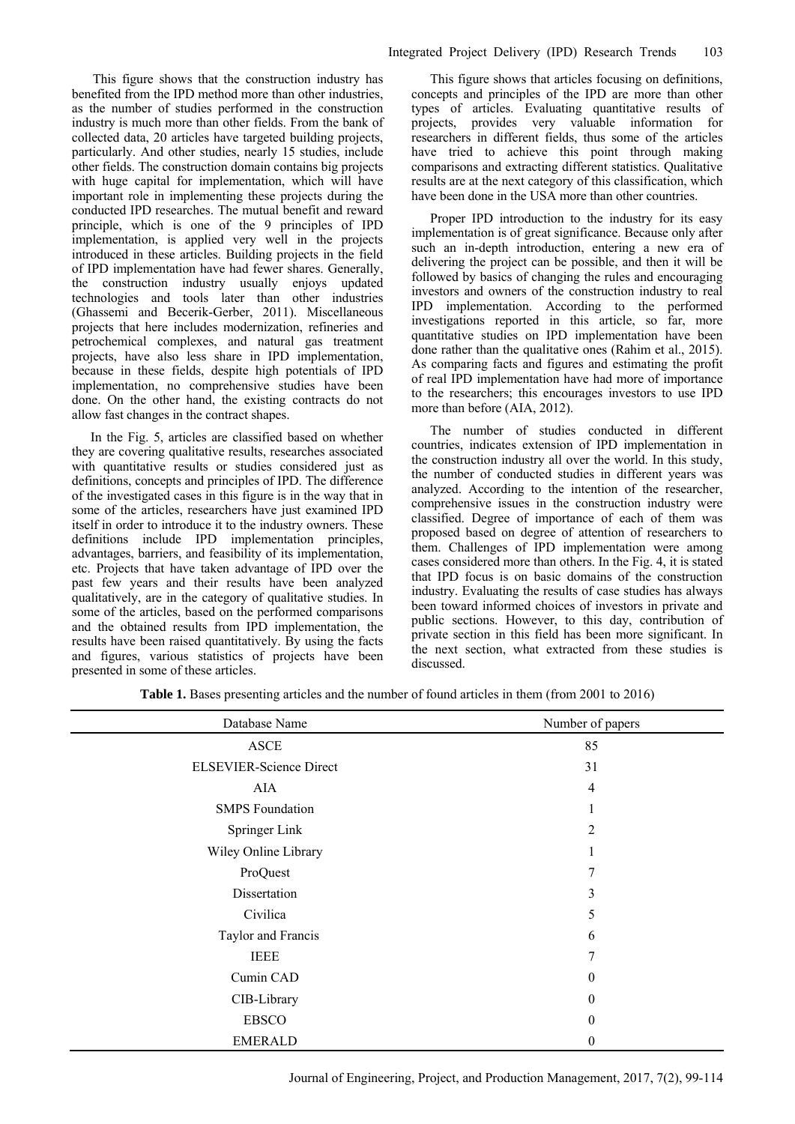This figure shows that the construction industry has benefited from the IPD method more than other industries, as the number of studies performed in the construction industry is much more than other fields. From the bank of collected data, 20 articles have targeted building projects, particularly. And other studies, nearly 15 studies, include other fields. The construction domain contains big projects with huge capital for implementation, which will have important role in implementing these projects during the conducted IPD researches. The mutual benefit and reward principle, which is one of the 9 principles of IPD implementation, is applied very well in the projects introduced in these articles. Building projects in the field of IPD implementation have had fewer shares. Generally, the construction industry usually enjoys updated technologies and tools later than other industries (Ghassemi and Becerik-Gerber, 2011). Miscellaneous projects that here includes modernization, refineries and petrochemical complexes, and natural gas treatment projects, have also less share in IPD implementation, because in these fields, despite high potentials of IPD implementation, no comprehensive studies have been done. On the other hand, the existing contracts do not allow fast changes in the contract shapes.

In the Fig. 5, articles are classified based on whether they are covering qualitative results, researches associated with quantitative results or studies considered just as definitions, concepts and principles of IPD. The difference of the investigated cases in this figure is in the way that in some of the articles, researchers have just examined IPD itself in order to introduce it to the industry owners. These definitions include IPD implementation principles, advantages, barriers, and feasibility of its implementation, etc. Projects that have taken advantage of IPD over the past few years and their results have been analyzed qualitatively, are in the category of qualitative studies. In some of the articles, based on the performed comparisons and the obtained results from IPD implementation, the results have been raised quantitatively. By using the facts and figures, various statistics of projects have been presented in some of these articles.

This figure shows that articles focusing on definitions, concepts and principles of the IPD are more than other types of articles. Evaluating quantitative results of projects, provides very valuable information for researchers in different fields, thus some of the articles have tried to achieve this point through making comparisons and extracting different statistics. Qualitative results are at the next category of this classification, which have been done in the USA more than other countries.

Proper IPD introduction to the industry for its easy implementation is of great significance. Because only after such an in-depth introduction, entering a new era of delivering the project can be possible, and then it will be followed by basics of changing the rules and encouraging investors and owners of the construction industry to real IPD implementation. According to the performed investigations reported in this article, so far, more quantitative studies on IPD implementation have been done rather than the qualitative ones (Rahim et al., 2015). As comparing facts and figures and estimating the profit of real IPD implementation have had more of importance to the researchers; this encourages investors to use IPD more than before (AIA, 2012).

The number of studies conducted in different countries, indicates extension of IPD implementation in the construction industry all over the world. In this study, the number of conducted studies in different years was analyzed. According to the intention of the researcher, comprehensive issues in the construction industry were classified. Degree of importance of each of them was proposed based on degree of attention of researchers to them. Challenges of IPD implementation were among cases considered more than others. In the Fig. 4, it is stated that IPD focus is on basic domains of the construction industry. Evaluating the results of case studies has always been toward informed choices of investors in private and public sections. However, to this day, contribution of private section in this field has been more significant. In the next section, what extracted from these studies is discussed.

| Database Name                  | Number of papers |  |
|--------------------------------|------------------|--|
| <b>ASCE</b>                    | 85               |  |
| <b>ELSEVIER-Science Direct</b> | 31               |  |
| AIA                            | $\overline{4}$   |  |
| <b>SMPS</b> Foundation         |                  |  |
| Springer Link                  | 2                |  |
| Wiley Online Library           |                  |  |
| ProQuest                       | 7                |  |
| Dissertation                   | 3                |  |
| Civilica                       | 5                |  |
| Taylor and Francis             | 6                |  |
| <b>IEEE</b>                    | 7                |  |
| Cumin CAD                      | $\theta$         |  |
| CIB-Library                    | $\mathbf{0}$     |  |
| <b>EBSCO</b>                   | $\theta$         |  |
| <b>EMERALD</b>                 | 0                |  |

**Table 1.** Bases presenting articles and the number of found articles in them (from 2001 to 2016)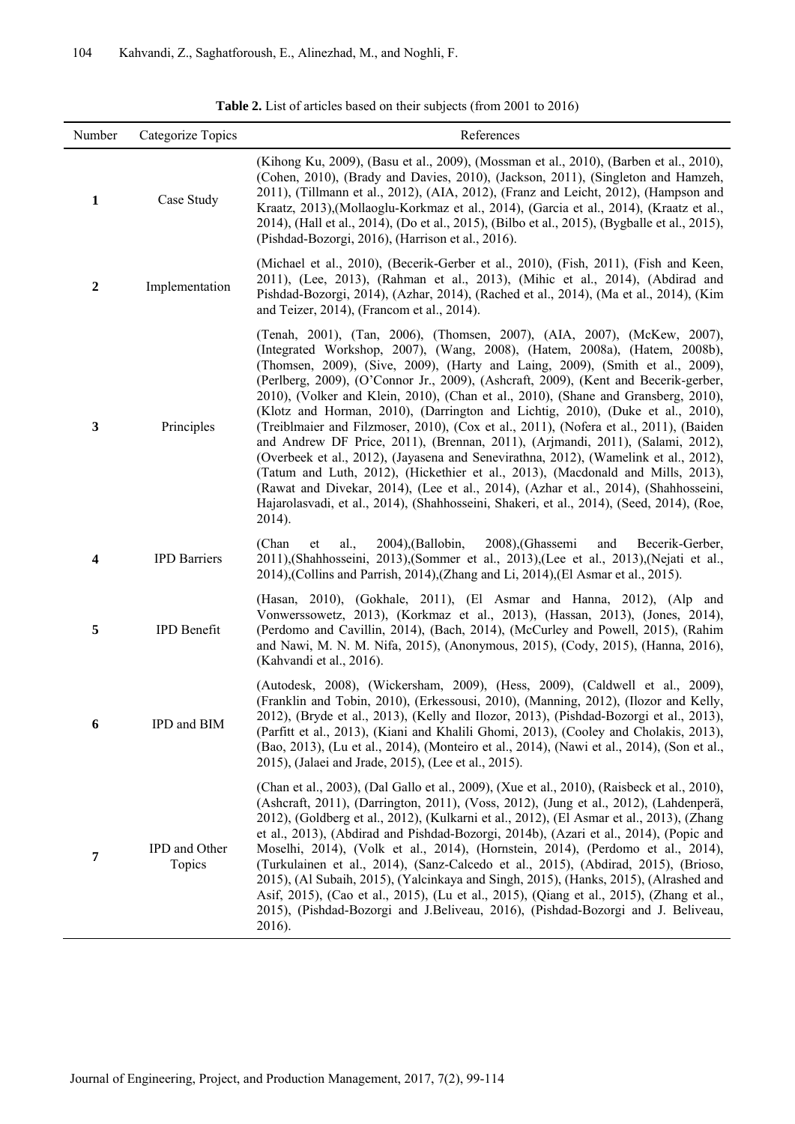$\overline{a}$ 

 $\blacksquare$ 

| Number                  | Categorize Topics       | References                                                                                                                                                                                                                                                                                                                                                                                                                                                                                                                                                                                                                                                                                                                                                                                                                                                                                                                                                                                                                                                |
|-------------------------|-------------------------|-----------------------------------------------------------------------------------------------------------------------------------------------------------------------------------------------------------------------------------------------------------------------------------------------------------------------------------------------------------------------------------------------------------------------------------------------------------------------------------------------------------------------------------------------------------------------------------------------------------------------------------------------------------------------------------------------------------------------------------------------------------------------------------------------------------------------------------------------------------------------------------------------------------------------------------------------------------------------------------------------------------------------------------------------------------|
| $\mathbf{1}$            | Case Study              | (Kihong Ku, 2009), (Basu et al., 2009), (Mossman et al., 2010), (Barben et al., 2010),<br>(Cohen, 2010), (Brady and Davies, 2010), (Jackson, 2011), (Singleton and Hamzeh,<br>2011), (Tillmann et al., 2012), (AIA, 2012), (Franz and Leicht, 2012), (Hampson and<br>Kraatz, 2013), (Mollaoglu-Korkmaz et al., 2014), (Garcia et al., 2014), (Kraatz et al.,<br>2014), (Hall et al., 2014), (Do et al., 2015), (Bilbo et al., 2015), (Bygballe et al., 2015),<br>(Pishdad-Bozorgi, 2016), (Harrison et al., 2016).                                                                                                                                                                                                                                                                                                                                                                                                                                                                                                                                        |
| $\boldsymbol{2}$        | Implementation          | (Michael et al., 2010), (Becerik-Gerber et al., 2010), (Fish, 2011), (Fish and Keen,<br>2011), (Lee, 2013), (Rahman et al., 2013), (Mihic et al., 2014), (Abdirad and<br>Pishdad-Bozorgi, 2014), (Azhar, 2014), (Rached et al., 2014), (Ma et al., 2014), (Kim<br>and Teizer, 2014), (Francom et al., 2014).                                                                                                                                                                                                                                                                                                                                                                                                                                                                                                                                                                                                                                                                                                                                              |
| $\mathbf{3}$            | Principles              | (Tenah, 2001), (Tan, 2006), (Thomsen, 2007), (AIA, 2007), (McKew, 2007),<br>(Integrated Workshop, 2007), (Wang, 2008), (Hatem, 2008a), (Hatem, 2008b),<br>(Thomsen, 2009), (Sive, 2009), (Harty and Laing, 2009), (Smith et al., 2009),<br>(Perlberg, 2009), (O'Connor Jr., 2009), (Ashcraft, 2009), (Kent and Becerik-gerber,<br>2010), (Volker and Klein, 2010), (Chan et al., 2010), (Shane and Gransberg, 2010),<br>(Klotz and Horman, 2010), (Darrington and Lichtig, 2010), (Duke et al., 2010),<br>(Treiblmaier and Filzmoser, 2010), (Cox et al., 2011), (Nofera et al., 2011), (Baiden<br>and Andrew DF Price, 2011), (Brennan, 2011), (Arjmandi, 2011), (Salami, 2012),<br>(Overbeek et al., 2012), (Jayasena and Senevirathna, 2012), (Wamelink et al., 2012),<br>(Tatum and Luth, 2012), (Hickethier et al., 2013), (Macdonald and Mills, 2013),<br>(Rawat and Divekar, 2014), (Lee et al., 2014), (Azhar et al., 2014), (Shahhosseini,<br>Hajarolasvadi, et al., 2014), (Shahhosseini, Shakeri, et al., 2014), (Seed, 2014), (Roe,<br>2014). |
| $\overline{\mathbf{4}}$ | <b>IPD Barriers</b>     | (Chan)<br>al.,<br>$2004$ ), (Ballobin,<br>2008), (Ghassemi<br>and<br>et<br>Becerik-Gerber,<br>2011), (Shahhosseini, 2013), (Sommer et al., 2013), (Lee et al., 2013), (Nejati et al.,<br>2014), (Collins and Parrish, 2014), (Zhang and Li, 2014), (El Asmar et al., 2015).                                                                                                                                                                                                                                                                                                                                                                                                                                                                                                                                                                                                                                                                                                                                                                               |
| 5                       | IPD Benefit             | (Hasan, 2010), (Gokhale, 2011), (El Asmar and Hanna, 2012), (Alp and<br>Vonwerssowetz, 2013), (Korkmaz et al., 2013), (Hassan, 2013), (Jones, 2014),<br>(Perdomo and Cavillin, 2014), (Bach, 2014), (McCurley and Powell, 2015), (Rahim<br>and Nawi, M. N. M. Nifa, 2015), (Anonymous, 2015), (Cody, 2015), (Hanna, 2016),<br>(Kahvandi et al., 2016).                                                                                                                                                                                                                                                                                                                                                                                                                                                                                                                                                                                                                                                                                                    |
| 6                       | IPD and BIM             | (Autodesk, 2008), (Wickersham, 2009), (Hess, 2009), (Caldwell et al., 2009),<br>(Franklin and Tobin, 2010), (Erkessousi, 2010), (Manning, 2012), (Ilozor and Kelly,<br>2012), (Bryde et al., 2013), (Kelly and Ilozor, 2013), (Pishdad-Bozorgi et al., 2013),<br>(Parfitt et al., 2013), (Kiani and Khalili Ghomi, 2013), (Cooley and Cholakis, 2013),<br>(Bao, 2013), (Lu et al., 2014), (Monteiro et al., 2014), (Nawi et al., 2014), (Son et al.,<br>2015), (Jalaei and Jrade, 2015), (Lee et al., 2015).                                                                                                                                                                                                                                                                                                                                                                                                                                                                                                                                              |
| 7                       | IPD and Other<br>Topics | (Chan et al., 2003), (Dal Gallo et al., 2009), (Xue et al., 2010), (Raisbeck et al., 2010),<br>(Ashcraft, 2011), (Darrington, 2011), (Voss, 2012), (Jung et al., 2012), (Lahdenperä,<br>2012), (Goldberg et al., 2012), (Kulkarni et al., 2012), (El Asmar et al., 2013), (Zhang<br>et al., 2013), (Abdirad and Pishdad-Bozorgi, 2014b), (Azari et al., 2014), (Popic and<br>Moselhi, 2014), (Volk et al., 2014), (Hornstein, 2014), (Perdomo et al., 2014),<br>(Turkulainen et al., 2014), (Sanz-Calcedo et al., 2015), (Abdirad, 2015), (Brioso,<br>2015), (Al Subaih, 2015), (Yalcinkaya and Singh, 2015), (Hanks, 2015), (Alrashed and<br>Asif, 2015), (Cao et al., 2015), (Lu et al., 2015), (Qiang et al., 2015), (Zhang et al.,<br>2015), (Pishdad-Bozorgi and J.Beliveau, 2016), (Pishdad-Bozorgi and J. Beliveau,<br>2016).                                                                                                                                                                                                                      |

**Table 2.** List of articles based on their subjects (from 2001 to 2016)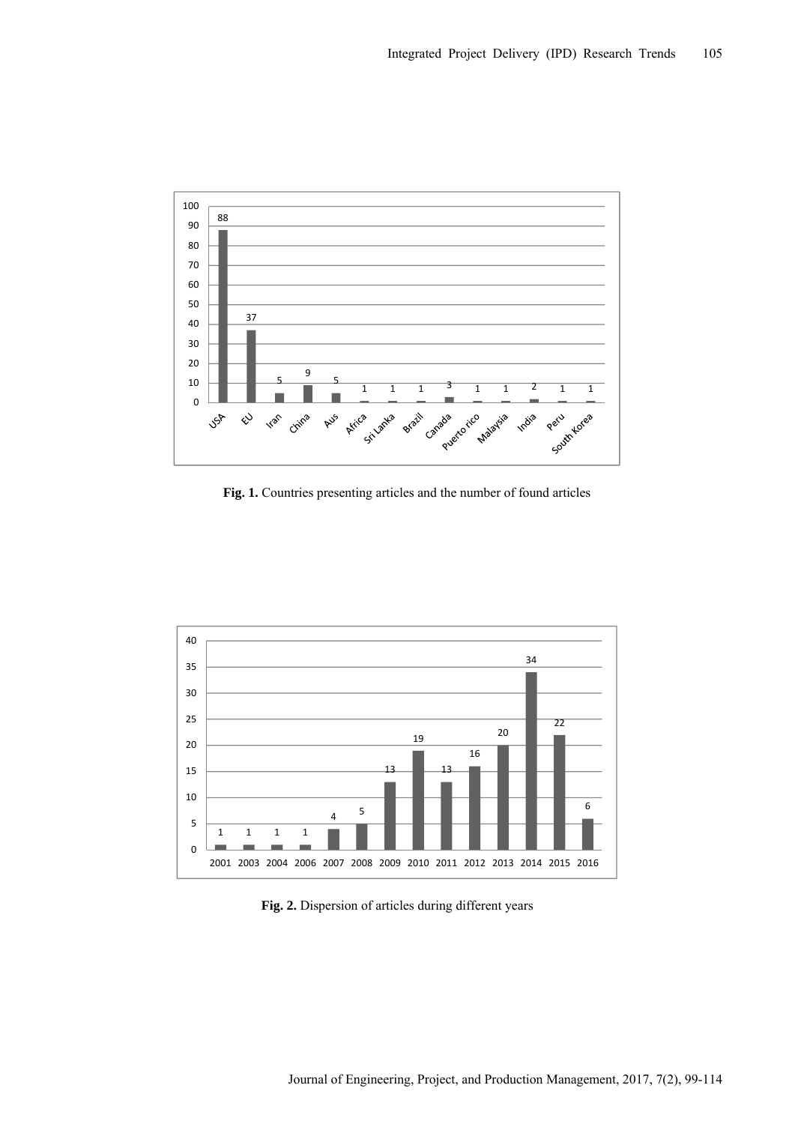

Fig. 1. Countries presenting articles and the number of found articles



**Fig. 2.** Dispersion of articles during different years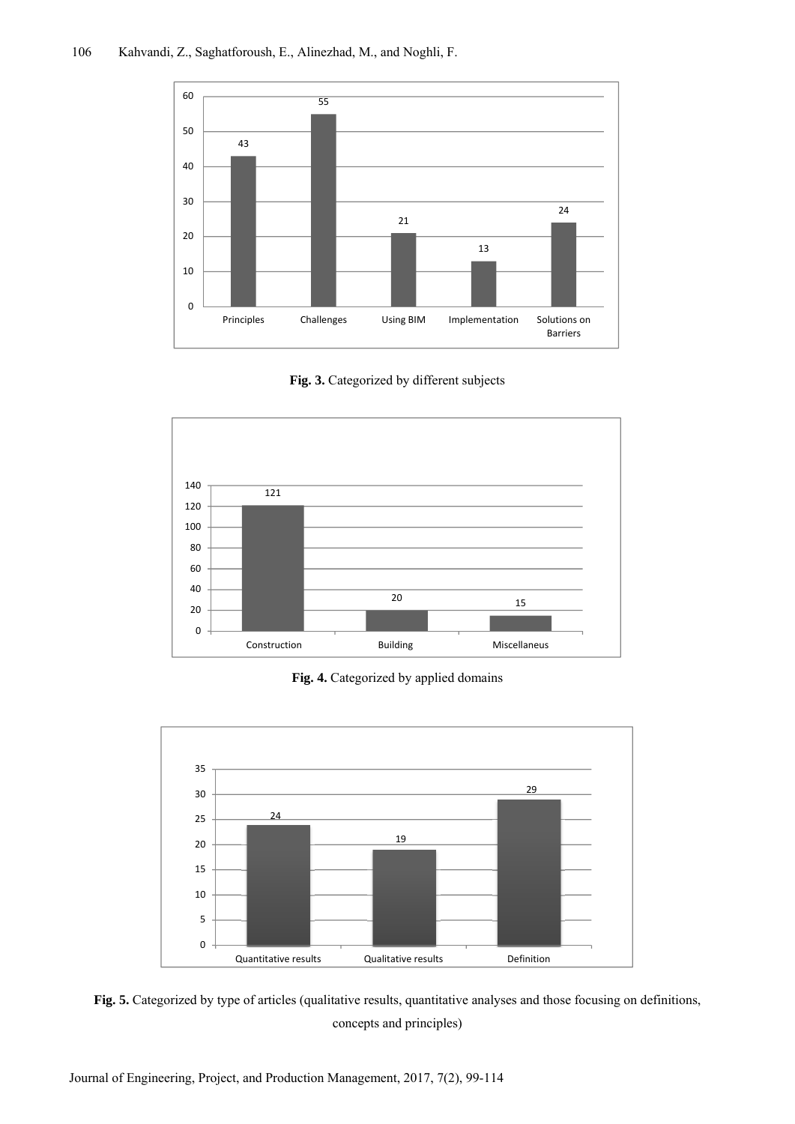

Fig. 3. Categorized by different subjects



Fig. 4. Categorized by applied domains



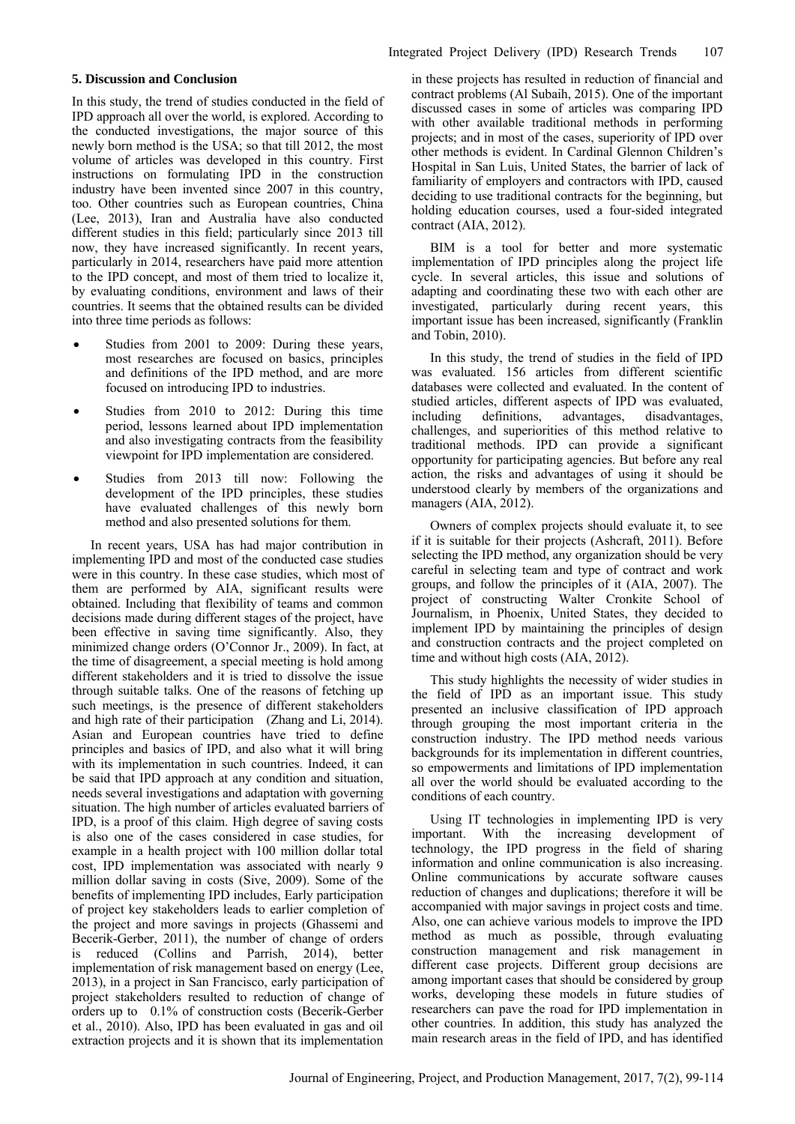## **5. Discussion and Conclusion**

In this study, the trend of studies conducted in the field of IPD approach all over the world, is explored. According to the conducted investigations, the major source of this newly born method is the USA; so that till 2012, the most volume of articles was developed in this country. First instructions on formulating IPD in the construction industry have been invented since 2007 in this country, too. Other countries such as European countries, China (Lee, 2013), Iran and Australia have also conducted different studies in this field; particularly since 2013 till now, they have increased significantly. In recent years, particularly in 2014, researchers have paid more attention to the IPD concept, and most of them tried to localize it, by evaluating conditions, environment and laws of their countries. It seems that the obtained results can be divided into three time periods as follows:

- Studies from 2001 to 2009: During these years, most researches are focused on basics, principles and definitions of the IPD method, and are more focused on introducing IPD to industries.
- Studies from 2010 to 2012: During this time period, lessons learned about IPD implementation and also investigating contracts from the feasibility viewpoint for IPD implementation are considered.
- Studies from 2013 till now: Following the development of the IPD principles, these studies have evaluated challenges of this newly born method and also presented solutions for them.

In recent years, USA has had major contribution in implementing IPD and most of the conducted case studies were in this country. In these case studies, which most of them are performed by AIA, significant results were obtained. Including that flexibility of teams and common decisions made during different stages of the project, have been effective in saving time significantly. Also, they minimized change orders (O'Connor Jr., 2009). In fact, at the time of disagreement, a special meeting is hold among different stakeholders and it is tried to dissolve the issue through suitable talks. One of the reasons of fetching up such meetings, is the presence of different stakeholders and high rate of their participation (Zhang and Li, 2014). Asian and European countries have tried to define principles and basics of IPD, and also what it will bring with its implementation in such countries. Indeed, it can be said that IPD approach at any condition and situation, needs several investigations and adaptation with governing situation. The high number of articles evaluated barriers of IPD, is a proof of this claim. High degree of saving costs is also one of the cases considered in case studies, for example in a health project with 100 million dollar total cost, IPD implementation was associated with nearly 9 million dollar saving in costs (Sive, 2009). Some of the benefits of implementing IPD includes, Early participation of project key stakeholders leads to earlier completion of the project and more savings in projects (Ghassemi and Becerik-Gerber, 2011), the number of change of orders is reduced (Collins and Parrish, 2014), better implementation of risk management based on energy (Lee, 2013), in a project in San Francisco, early participation of project stakeholders resulted to reduction of change of orders up to 0.1% of construction costs (Becerik-Gerber et al., 2010). Also, IPD has been evaluated in gas and oil extraction projects and it is shown that its implementation

in these projects has resulted in reduction of financial and contract problems (Al Subaih, 2015). One of the important discussed cases in some of articles was comparing IPD with other available traditional methods in performing projects; and in most of the cases, superiority of IPD over other methods is evident. In Cardinal Glennon Children's Hospital in San Luis, United States, the barrier of lack of familiarity of employers and contractors with IPD, caused deciding to use traditional contracts for the beginning, but holding education courses, used a four-sided integrated contract (AIA, 2012).

BIM is a tool for better and more systematic implementation of IPD principles along the project life cycle. In several articles, this issue and solutions of adapting and coordinating these two with each other are investigated, particularly during recent years, this important issue has been increased, significantly (Franklin and Tobin, 2010).

In this study, the trend of studies in the field of IPD was evaluated. 156 articles from different scientific databases were collected and evaluated. In the content of studied articles, different aspects of IPD was evaluated, including definitions, advantages, disadvantages, challenges, and superiorities of this method relative to traditional methods. IPD can provide a significant opportunity for participating agencies. But before any real action, the risks and advantages of using it should be understood clearly by members of the organizations and managers (AIA, 2012).

Owners of complex projects should evaluate it, to see if it is suitable for their projects (Ashcraft, 2011). Before selecting the IPD method, any organization should be very careful in selecting team and type of contract and work groups, and follow the principles of it (AIA, 2007). The project of constructing Walter Cronkite School of Journalism, in Phoenix, United States, they decided to implement IPD by maintaining the principles of design and construction contracts and the project completed on time and without high costs (AIA, 2012).

This study highlights the necessity of wider studies in the field of IPD as an important issue. This study presented an inclusive classification of IPD approach through grouping the most important criteria in the construction industry. The IPD method needs various backgrounds for its implementation in different countries, so empowerments and limitations of IPD implementation all over the world should be evaluated according to the conditions of each country.

Using IT technologies in implementing IPD is very important. With the increasing development of technology, the IPD progress in the field of sharing information and online communication is also increasing. Online communications by accurate software causes reduction of changes and duplications; therefore it will be accompanied with major savings in project costs and time. Also, one can achieve various models to improve the IPD method as much as possible, through evaluating construction management and risk management in different case projects. Different group decisions are among important cases that should be considered by group works, developing these models in future studies of researchers can pave the road for IPD implementation in other countries. In addition, this study has analyzed the main research areas in the field of IPD, and has identified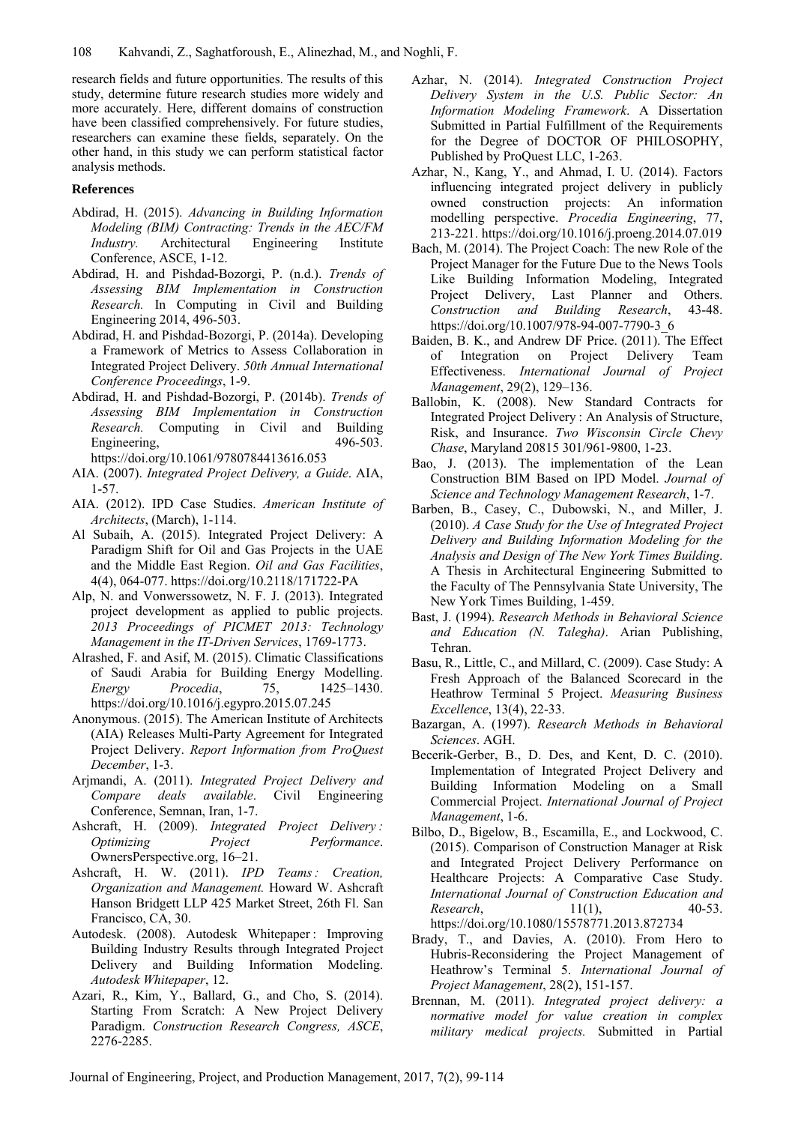research fields and future opportunities. The results of this study, determine future research studies more widely and more accurately. Here, different domains of construction have been classified comprehensively. For future studies, researchers can examine these fields, separately. On the other hand, in this study we can perform statistical factor analysis methods.

#### **References**

- Abdirad, H. (2015). *Advancing in Building Information Modeling (BIM) Contracting: Trends in the AEC/FM Industry.* Architectural Engineering Institute Conference, ASCE, 1-12.
- Abdirad, H. and Pishdad-Bozorgi, P. (n.d.). *Trends of Assessing BIM Implementation in Construction Research.* In Computing in Civil and Building Engineering 2014, 496-503.
- Abdirad, H. and Pishdad-Bozorgi, P. (2014a). Developing a Framework of Metrics to Assess Collaboration in Integrated Project Delivery. *50th Annual International Conference Proceedings*, 1-9.
- Abdirad, H. and Pishdad-Bozorgi, P. (2014b). *Trends of Assessing BIM Implementation in Construction Research.* Computing in Civil and Building Engineering, 496-503. https://doi.org/10.1061/9780784413616.053
- AIA. (2007). *Integrated Project Delivery, a Guide*. AIA, 1-57.
- AIA. (2012). IPD Case Studies. *American Institute of Architects*, (March), 1-114.
- Al Subaih, A. (2015). Integrated Project Delivery: A Paradigm Shift for Oil and Gas Projects in the UAE and the Middle East Region. *Oil and Gas Facilities*, 4(4), 064-077. https://doi.org/10.2118/171722-PA
- Alp, N. and Vonwerssowetz, N. F. J. (2013). Integrated project development as applied to public projects. *2013 Proceedings of PICMET 2013: Technology Management in the IT-Driven Services*, 1769-1773.
- Alrashed, F. and Asif, M. (2015). Climatic Classifications of Saudi Arabia for Building Energy Modelling. *Energy Procedia*, 75, 1425–1430. https://doi.org/10.1016/j.egypro.2015.07.245
- Anonymous. (2015). The American Institute of Architects (AIA) Releases Multi-Party Agreement for Integrated Project Delivery. *Report Information from ProQuest December*, 1-3.
- Arjmandi, A. (2011). *Integrated Project Delivery and Compare deals available*. Civil Engineering Conference, Semnan, Iran, 1-7.
- Ashcraft, H. (2009). *Integrated Project Delivery : Optimizing Project Performance*. OwnersPerspective.org, 16–21.
- Ashcraft, H. W. (2011). *IPD Teams : Creation, Organization and Management.* Howard W. Ashcraft Hanson Bridgett LLP 425 Market Street, 26th Fl. San Francisco, CA, 30.
- Autodesk. (2008). Autodesk Whitepaper : Improving Building Industry Results through Integrated Project Delivery and Building Information Modeling. *Autodesk Whitepaper*, 12.
- Azari, R., Kim, Y., Ballard, G., and Cho, S. (2014). Starting From Scratch: A New Project Delivery Paradigm. *Construction Research Congress, ASCE*, 2276-2285.
- Azhar, N. (2014). *Integrated Construction Project Delivery System in the U.S. Public Sector: An Information Modeling Framework*. A Dissertation Submitted in Partial Fulfillment of the Requirements for the Degree of DOCTOR OF PHILOSOPHY, Published by ProQuest LLC, 1-263.
- Azhar, N., Kang, Y., and Ahmad, I. U. (2014). Factors influencing integrated project delivery in publicly owned construction projects: An information modelling perspective. *Procedia Engineering*, 77, 213-221. https://doi.org/10.1016/j.proeng.2014.07.019
- Bach, M. (2014). The Project Coach: The new Role of the Project Manager for the Future Due to the News Tools Like Building Information Modeling, Integrated Project Delivery, Last Planner and Others. *Construction and Building Research*, 43-48. https://doi.org/10.1007/978-94-007-7790-3\_6
- Baiden, B. K., and Andrew DF Price. (2011). The Effect of Integration on Project Delivery Team Effectiveness. *International Journal of Project Management*, 29(2), 129–136.
- Ballobin, K. (2008). New Standard Contracts for Integrated Project Delivery : An Analysis of Structure, Risk, and Insurance. *Two Wisconsin Circle Chevy Chase*, Maryland 20815 301/961-9800, 1-23.
- Bao, J. (2013). The implementation of the Lean Construction BIM Based on IPD Model. *Journal of Science and Technology Management Research*, 1-7.
- Barben, B., Casey, C., Dubowski, N., and Miller, J. (2010). *A Case Study for the Use of Integrated Project Delivery and Building Information Modeling for the Analysis and Design of The New York Times Building*. A Thesis in Architectural Engineering Submitted to the Faculty of The Pennsylvania State University, The New York Times Building, 1-459.
- Bast, J. (1994). *Research Methods in Behavioral Science and Education (N. Talegha)*. Arian Publishing, Tehran.
- Basu, R., Little, C., and Millard, C. (2009). Case Study: A Fresh Approach of the Balanced Scorecard in the Heathrow Terminal 5 Project. *Measuring Business Excellence*, 13(4), 22-33.
- Bazargan, A. (1997). *Research Methods in Behavioral Sciences*. AGH.
- Becerik-Gerber, B., D. Des, and Kent, D. C. (2010). Implementation of Integrated Project Delivery and Building Information Modeling on a Small Commercial Project. *International Journal of Project Management*, 1-6.
- Bilbo, D., Bigelow, B., Escamilla, E., and Lockwood, C. (2015). Comparison of Construction Manager at Risk and Integrated Project Delivery Performance on Healthcare Projects: A Comparative Case Study. *International Journal of Construction Education and Research*, 11(1), 40-53. https://doi.org/10.1080/15578771.2013.872734
- Brady, T., and Davies, A. (2010). From Hero to Hubris-Reconsidering the Project Management of Heathrow's Terminal 5. *International Journal of Project Management*, 28(2), 151-157.
- Brennan, M. (2011). *Integrated project delivery: a normative model for value creation in complex military medical projects.* Submitted in Partial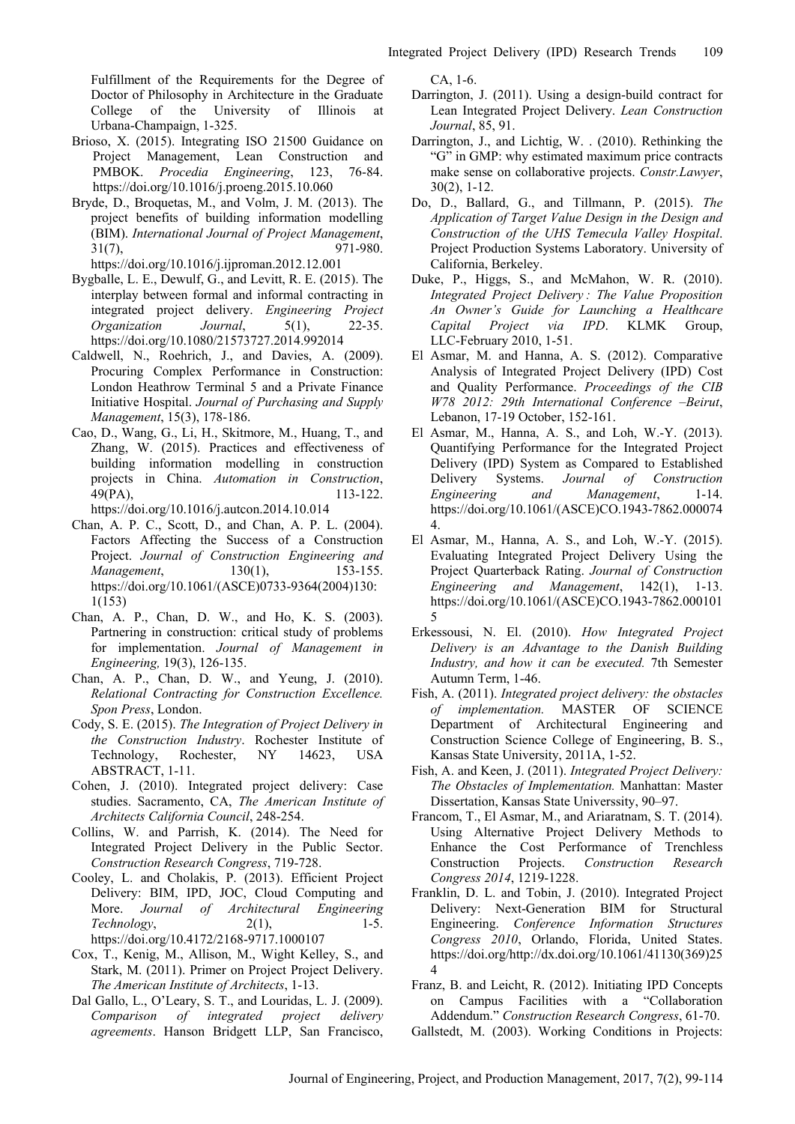Fulfillment of the Requirements for the Degree of Doctor of Philosophy in Architecture in the Graduate College of the University of Illinois at Urbana-Champaign, 1-325.

- Brioso, X. (2015). Integrating ISO 21500 Guidance on Project Management, Lean Construction and PMBOK. *Procedia Engineering*, 123, 76-84. https://doi.org/10.1016/j.proeng.2015.10.060
- Bryde, D., Broquetas, M., and Volm, J. M. (2013). The project benefits of building information modelling (BIM). *International Journal of Project Management*, 31(7), 971-980. https://doi.org/10.1016/j.ijproman.2012.12.001
- Bygballe, L. E., Dewulf, G., and Levitt, R. E. (2015). The interplay between formal and informal contracting in integrated project delivery. *Engineering Project Organization Journal*, 5(1), 22-35. https://doi.org/10.1080/21573727.2014.992014
- Caldwell, N., Roehrich, J., and Davies, A. (2009). Procuring Complex Performance in Construction: London Heathrow Terminal 5 and a Private Finance Initiative Hospital. *Journal of Purchasing and Supply Management*, 15(3), 178-186.
- Cao, D., Wang, G., Li, H., Skitmore, M., Huang, T., and Zhang, W. (2015). Practices and effectiveness of building information modelling in construction projects in China. *Automation in Construction*, 49(PA), 113-122. https://doi.org/10.1016/j.autcon.2014.10.014
- Chan, A. P. C., Scott, D., and Chan, A. P. L. (2004). Factors Affecting the Success of a Construction Project. *Journal of Construction Engineering and Management*, 130(1), 153-155. https://doi.org/10.1061/(ASCE)0733-9364(2004)130: 1(153)
- Chan, A. P., Chan, D. W., and Ho, K. S. (2003). Partnering in construction: critical study of problems for implementation. *Journal of Management in Engineering,* 19(3), 126-135.
- Chan, A. P., Chan, D. W., and Yeung, J. (2010). *Relational Contracting for Construction Excellence. Spon Press*, London.
- Cody, S. E. (2015). *The Integration of Project Delivery in the Construction Industry*. Rochester Institute of Technology, Rochester, NY 14623, USA ABSTRACT, 1-11.
- Cohen, J. (2010). Integrated project delivery: Case studies. Sacramento, CA, *The American Institute of Architects California Council*, 248-254.
- Collins, W. and Parrish, K. (2014). The Need for Integrated Project Delivery in the Public Sector. *Construction Research Congress*, 719-728.
- Cooley, L. and Cholakis, P. (2013). Efficient Project Delivery: BIM, IPD, JOC, Cloud Computing and More. *Journal of Architectural Engineering Technology*, 2(1), 1-5. https://doi.org/10.4172/2168-9717.1000107
- Cox, T., Kenig, M., Allison, M., Wight Kelley, S., and Stark, M. (2011). Primer on Project Project Delivery. *The American Institute of Architects*, 1-13.
- Dal Gallo, L., O'Leary, S. T., and Louridas, L. J. (2009). *Comparison of integrated project delivery agreements*. Hanson Bridgett LLP, San Francisco,

CA, 1-6.

- Darrington, J. (2011). Using a design-build contract for Lean Integrated Project Delivery. *Lean Construction Journal*, 85, 91.
- Darrington, J., and Lichtig, W. . (2010). Rethinking the "G" in GMP: why estimated maximum price contracts make sense on collaborative projects. *Constr.Lawyer*, 30(2), 1-12.
- Do, D., Ballard, G., and Tillmann, P. (2015). *The Application of Target Value Design in the Design and Construction of the UHS Temecula Valley Hospital*. Project Production Systems Laboratory. University of California, Berkeley.
- Duke, P., Higgs, S., and McMahon, W. R. (2010). *Integrated Project Delivery : The Value Proposition An Owner's Guide for Launching a Healthcare Capital Project via IPD*. KLMK Group, LLC-February 2010, 1-51.
- El Asmar, M. and Hanna, A. S. (2012). Comparative Analysis of Integrated Project Delivery (IPD) Cost and Quality Performance. *Proceedings of the CIB W78 2012: 29th International Conference –Beirut*, Lebanon, 17-19 October, 152-161.
- El Asmar, M., Hanna, A. S., and Loh, W.-Y. (2013). Quantifying Performance for the Integrated Project Delivery (IPD) System as Compared to Established Delivery Systems. *Journal of Construction Engineering and Management*, 1-14. https://doi.org/10.1061/(ASCE)CO.1943-7862.000074 4.
- El Asmar, M., Hanna, A. S., and Loh, W.-Y. (2015). Evaluating Integrated Project Delivery Using the Project Quarterback Rating. *Journal of Construction Engineering and Management*, 142(1), 1-13. https://doi.org/10.1061/(ASCE)CO.1943-7862.000101 5
- Erkessousi, N. El. (2010). *How Integrated Project Delivery is an Advantage to the Danish Building Industry, and how it can be executed.* 7th Semester Autumn Term, 1-46.
- Fish, A. (2011). *Integrated project delivery: the obstacles of implementation.* MASTER OF SCIENCE Department of Architectural Engineering and Construction Science College of Engineering, B. S., Kansas State University, 2011A, 1-52.
- Fish, A. and Keen, J. (2011). *Integrated Project Delivery: The Obstacles of Implementation.* Manhattan: Master Dissertation, Kansas State Universsity, 90–97.
- Francom, T., El Asmar, M., and Ariaratnam, S. T. (2014). Using Alternative Project Delivery Methods to Enhance the Cost Performance of Trenchless Construction Projects. *Construction Research Congress 2014*, 1219-1228.
- Franklin, D. L. and Tobin, J. (2010). Integrated Project Delivery: Next-Generation BIM for Structural Engineering. *Conference Information Structures Congress 2010*, Orlando, Florida, United States. https://doi.org/http://dx.doi.org/10.1061/41130(369)25 4
- Franz, B. and Leicht, R. (2012). Initiating IPD Concepts on Campus Facilities with a "Collaboration Addendum." *Construction Research Congress*, 61-70.
- Gallstedt, M. (2003). Working Conditions in Projects: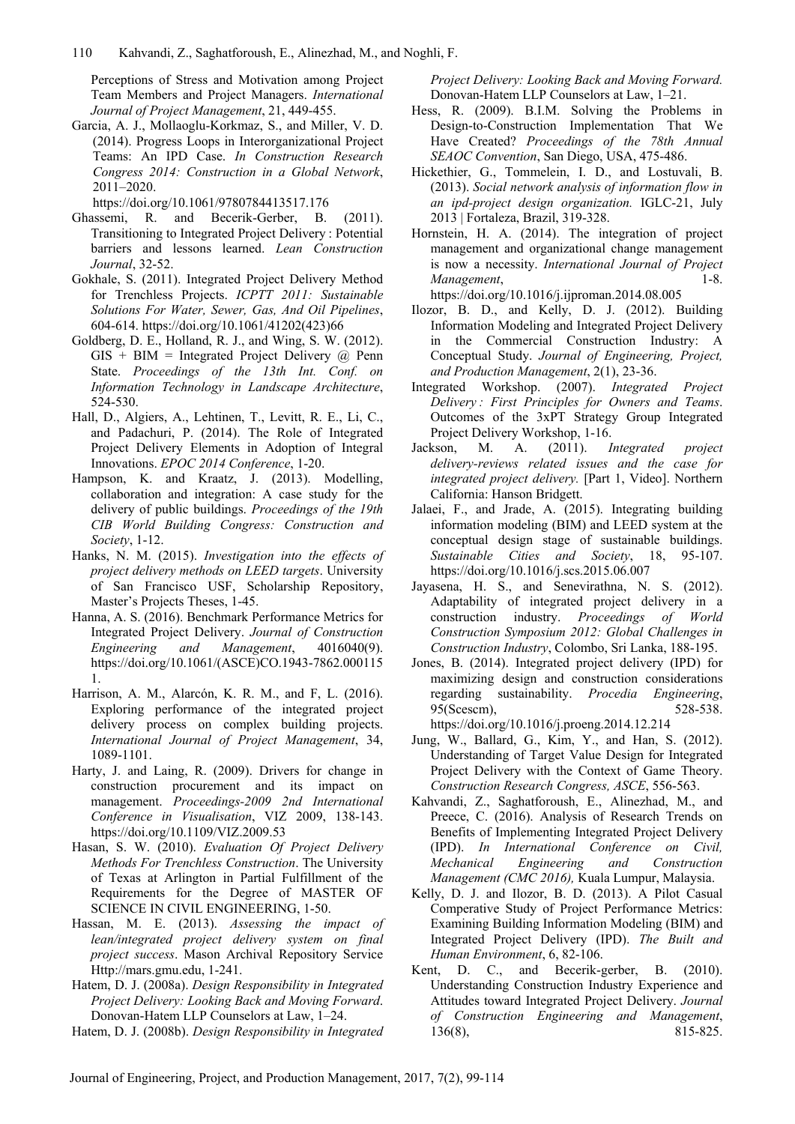Perceptions of Stress and Motivation among Project Team Members and Project Managers. *International Journal of Project Management*, 21, 449-455.

Garcia, A. J., Mollaoglu-Korkmaz, S., and Miller, V. D. (2014). Progress Loops in Interorganizational Project Teams: An IPD Case. *In Construction Research Congress 2014: Construction in a Global Network*, 2011–2020.

https://doi.org/10.1061/9780784413517.176

- Ghassemi, R. and Becerik-Gerber, B. (2011). Transitioning to Integrated Project Delivery : Potential barriers and lessons learned. *Lean Construction Journal*, 32-52.
- Gokhale, S. (2011). Integrated Project Delivery Method for Trenchless Projects. *ICPTT 2011: Sustainable Solutions For Water, Sewer, Gas, And Oil Pipelines*, 604-614. https://doi.org/10.1061/41202(423)66
- Goldberg, D. E., Holland, R. J., and Wing, S. W. (2012).  $GIS + BIM = Integrated Project Delivery @ Penn$ State. *Proceedings of the 13th Int. Conf. on Information Technology in Landscape Architecture*, 524-530.
- Hall, D., Algiers, A., Lehtinen, T., Levitt, R. E., Li, C., and Padachuri, P. (2014). The Role of Integrated Project Delivery Elements in Adoption of Integral Innovations. *EPOC 2014 Conference*, 1-20.
- Hampson, K. and Kraatz, J. (2013). Modelling, collaboration and integration: A case study for the delivery of public buildings. *Proceedings of the 19th CIB World Building Congress: Construction and Society*, 1-12.
- Hanks, N. M. (2015). *Investigation into the effects of project delivery methods on LEED targets*. University of San Francisco USF, Scholarship Repository, Master's Projects Theses, 1-45.
- Hanna, A. S. (2016). Benchmark Performance Metrics for Integrated Project Delivery. *Journal of Construction Engineering and Management*, 4016040(9). https://doi.org/10.1061/(ASCE)CO.1943-7862.000115 1.
- Harrison, A. M., Alarcón, K. R. M., and F, L. (2016). Exploring performance of the integrated project delivery process on complex building projects. *International Journal of Project Management*, 34, 1089-1101.
- Harty, J. and Laing, R. (2009). Drivers for change in construction procurement and its impact on management. *Proceedings-2009 2nd International Conference in Visualisation*, VIZ 2009, 138-143. https://doi.org/10.1109/VIZ.2009.53
- Hasan, S. W. (2010). *Evaluation Of Project Delivery Methods For Trenchless Construction*. The University of Texas at Arlington in Partial Fulfillment of the Requirements for the Degree of MASTER OF SCIENCE IN CIVIL ENGINEERING, 1-50.
- Hassan, M. E. (2013). *Assessing the impact of lean/integrated project delivery system on final project success*. Mason Archival Repository Service Http://mars.gmu.edu, 1-241.
- Hatem, D. J. (2008a). *Design Responsibility in Integrated Project Delivery: Looking Back and Moving Forward*. Donovan-Hatem LLP Counselors at Law, 1–24.
- Hatem, D. J. (2008b). *Design Responsibility in Integrated*

*Project Delivery: Looking Back and Moving Forward.* Donovan-Hatem LLP Counselors at Law, 1–21.

- Hess, R. (2009). B.I.M. Solving the Problems in Design-to-Construction Implementation That We Have Created? *Proceedings of the 78th Annual SEAOC Convention*, San Diego, USA, 475-486.
- Hickethier, G., Tommelein, I. D., and Lostuvali, B. (2013). *Social network analysis of information flow in an ipd-project design organization.* IGLC-21, July 2013 | Fortaleza, Brazil, 319-328.
- Hornstein, H. A. (2014). The integration of project management and organizational change management is now a necessity. *International Journal of Project Management*, 1-8. https://doi.org/10.1016/j.ijproman.2014.08.005
- Ilozor, B. D., and Kelly, D. J. (2012). Building Information Modeling and Integrated Project Delivery in the Commercial Construction Industry: A Conceptual Study. *Journal of Engineering, Project, and Production Management*, 2(1), 23-36.
- Integrated Workshop. (2007). *Integrated Project Delivery : First Principles for Owners and Teams*. Outcomes of the 3xPT Strategy Group Integrated Project Delivery Workshop, 1-16.
- Jackson, M. A. (2011). *Integrated project delivery-reviews related issues and the case for integrated project delivery.* [Part 1, Video]. Northern California: Hanson Bridgett.
- Jalaei, F., and Jrade, A. (2015). Integrating building information modeling (BIM) and LEED system at the conceptual design stage of sustainable buildings. *Sustainable Cities and Society*, 18, 95-107. https://doi.org/10.1016/j.scs.2015.06.007
- Jayasena, H. S., and Senevirathna, N. S. (2012). Adaptability of integrated project delivery in a construction industry. *Proceedings of World Construction Symposium 2012: Global Challenges in Construction Industry*, Colombo, Sri Lanka, 188-195.
- Jones, B. (2014). Integrated project delivery (IPD) for maximizing design and construction considerations regarding sustainability. *Procedia Engineering*, 95(Scescm), 528-538. https://doi.org/10.1016/j.proeng.2014.12.214
- Jung, W., Ballard, G., Kim, Y., and Han, S. (2012). Understanding of Target Value Design for Integrated Project Delivery with the Context of Game Theory. *Construction Research Congress, ASCE*, 556-563.
- Kahvandi, Z., Saghatforoush, E., Alinezhad, M., and Preece, C. (2016). Analysis of Research Trends on Benefits of Implementing Integrated Project Delivery (IPD). *In International Conference on Civil, Mechanical Engineering and Construction Management (CMC 2016),* Kuala Lumpur, Malaysia.
- Kelly, D. J. and Ilozor, B. D. (2013). A Pilot Casual Comperative Study of Project Performance Metrics: Examining Building Information Modeling (BIM) and Integrated Project Delivery (IPD). *The Built and Human Environment*, 6, 82-106.
- Kent, D. C., and Becerik-gerber, B. (2010). Understanding Construction Industry Experience and Attitudes toward Integrated Project Delivery. *Journal of Construction Engineering and Management*, 136(8), 815-825.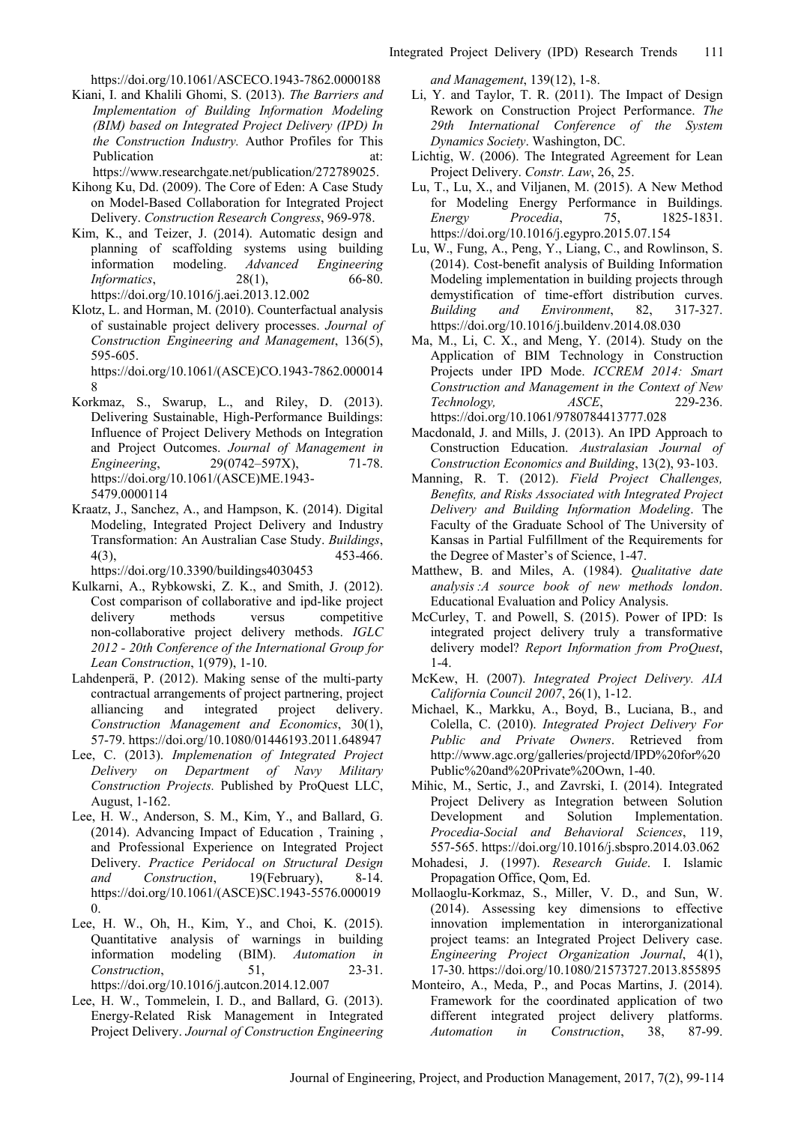https://doi.org/10.1061/ASCECO.1943-7862.0000188

Kiani, I. and Khalili Ghomi, S. (2013). *The Barriers and Implementation of Building Information Modeling (BIM) based on Integrated Project Delivery (IPD) In the Construction Industry.* Author Profiles for This Publication at:

https://www.researchgate.net/publication/272789025.

- Kihong Ku, Dd. (2009). The Core of Eden: A Case Study on Model-Based Collaboration for Integrated Project Delivery. *Construction Research Congress*, 969-978.
- Kim, K., and Teizer, J. (2014). Automatic design and planning of scaffolding systems using building information modeling. *Advanced Engineering Informatics*, 28(1), 66-80. https://doi.org/10.1016/j.aei.2013.12.002
- Klotz, L. and Horman, M. (2010). Counterfactual analysis of sustainable project delivery processes. *Journal of Construction Engineering and Management*, 136(5), 595-605.

https://doi.org/10.1061/(ASCE)CO.1943-7862.000014 8

- Korkmaz, S., Swarup, L., and Riley, D. (2013). Delivering Sustainable, High-Performance Buildings: Influence of Project Delivery Methods on Integration and Project Outcomes. *Journal of Management in Engineering.* 29(0742–597X), 71-78. https://doi.org/10.1061/(ASCE)ME.1943- 5479.0000114
- Kraatz, J., Sanchez, A., and Hampson, K. (2014). Digital Modeling, Integrated Project Delivery and Industry Transformation: An Australian Case Study. *Buildings*, 4(3), 453-466.

https://doi.org/10.3390/buildings4030453

- Kulkarni, A., Rybkowski, Z. K., and Smith, J. (2012). Cost comparison of collaborative and ipd-like project delivery methods versus competitive non-collaborative project delivery methods. *IGLC 2012 - 20th Conference of the International Group for Lean Construction*, 1(979), 1-10.
- Lahdenperä, P. (2012). Making sense of the multi-party contractual arrangements of project partnering, project alliancing and integrated project delivery. *Construction Management and Economics*, 30(1), 57-79. https://doi.org/10.1080/01446193.2011.648947
- Lee, C. (2013). *Implemenation of Integrated Project Delivery on Department of Navy Military Construction Projects.* Published by ProQuest LLC, August, 1-162.
- Lee, H. W., Anderson, S. M., Kim, Y., and Ballard, G. (2014). Advancing Impact of Education , Training , and Professional Experience on Integrated Project Delivery. *Practice Peridocal on Structural Design and Construction*, 19(February), 8-14. https://doi.org/10.1061/(ASCE)SC.1943-5576.000019 0.
- Lee, H. W., Oh, H., Kim, Y., and Choi, K. (2015). Quantitative analysis of warnings in building information modeling (BIM). *Automation in Construction*, 51, 23-31. https://doi.org/10.1016/j.autcon.2014.12.007
- Lee, H. W., Tommelein, I. D., and Ballard, G. (2013). Energy-Related Risk Management in Integrated Project Delivery. *Journal of Construction Engineering*

*and Management*, 139(12), 1-8.

- Li, Y. and Taylor, T. R. (2011). The Impact of Design Rework on Construction Project Performance. *The 29th International Conference of the System Dynamics Society*. Washington, DC.
- Lichtig, W. (2006). The Integrated Agreement for Lean Project Delivery. *Constr. Law*, 26, 25.
- Lu, T., Lu, X., and Viljanen, M. (2015). A New Method for Modeling Energy Performance in Buildings. *Energy Procedia*, 75, 1825-1831. https://doi.org/10.1016/j.egypro.2015.07.154
- Lu, W., Fung, A., Peng, Y., Liang, C., and Rowlinson, S. (2014). Cost-benefit analysis of Building Information Modeling implementation in building projects through demystification of time-effort distribution curves. *Building and Environment*, 82, 317-327. https://doi.org/10.1016/j.buildenv.2014.08.030
- Ma, M., Li, C. X., and Meng, Y. (2014). Study on the Application of BIM Technology in Construction Projects under IPD Mode. *ICCREM 2014: Smart Construction and Management in the Context of New Technology, ASCE*, 229-236. https://doi.org/10.1061/9780784413777.028
- Macdonald, J. and Mills, J. (2013). An IPD Approach to Construction Education. *Australasian Journal of Construction Economics and Building*, 13(2), 93-103.
- Manning, R. T. (2012). *Field Project Challenges, Benefits, and Risks Associated with Integrated Project Delivery and Building Information Modeling*. The Faculty of the Graduate School of The University of Kansas in Partial Fulfillment of the Requirements for the Degree of Master's of Science, 1-47.
- Matthew, B. and Miles, A. (1984). *Qualitative date analysis :A source book of new methods london*. Educational Evaluation and Policy Analysis.
- McCurley, T. and Powell, S. (2015). Power of IPD: Is integrated project delivery truly a transformative delivery model? *Report Information from ProQuest*,  $1-4$
- McKew, H. (2007). *Integrated Project Delivery. AIA California Council 2007*, 26(1), 1-12.
- Michael, K., Markku, A., Boyd, B., Luciana, B., and Colella, C. (2010). *Integrated Project Delivery For Public and Private Owners*. Retrieved from http://www.agc.org/galleries/projectd/IPD%20for%20 Public%20and%20Private%20Own, 1-40.
- Mihic, M., Sertic, J., and Zavrski, I. (2014). Integrated Project Delivery as Integration between Solution Development and Solution Implementation. *Procedia-Social and Behavioral Sciences*, 119, 557-565. https://doi.org/10.1016/j.sbspro.2014.03.062
- Mohadesi, J. (1997). *Research Guide*. I. Islamic Propagation Office, Qom, Ed.
- Mollaoglu-Korkmaz, S., Miller, V. D., and Sun, W. (2014). Assessing key dimensions to effective innovation implementation in interorganizational project teams: an Integrated Project Delivery case. *Engineering Project Organization Journal*, 4(1), 17-30. https://doi.org/10.1080/21573727.2013.855895
- Monteiro, A., Meda, P., and Pocas Martins, J. (2014). Framework for the coordinated application of two different integrated project delivery platforms. *Automation in Construction*, 38, 87-99.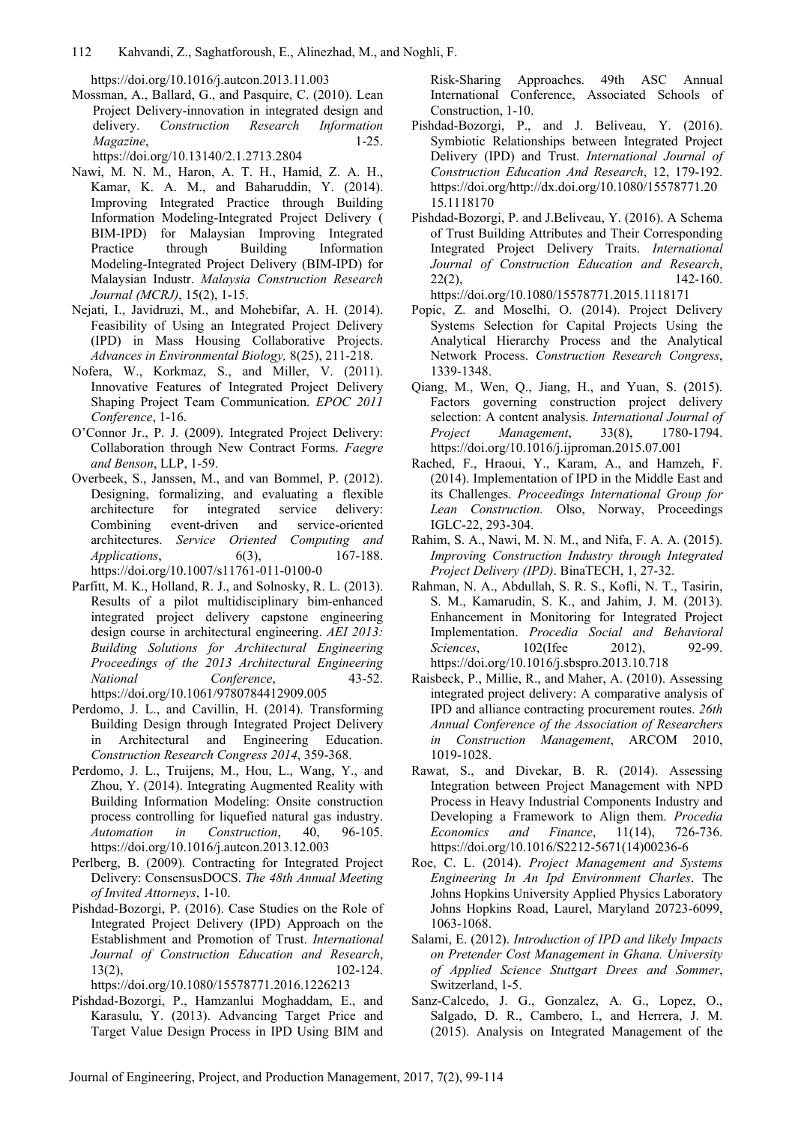https://doi.org/10.1016/j.autcon.2013.11.003

Mossman, A., Ballard, G., and Pasquire, C. (2010). Lean Project Delivery-innovation in integrated design and delivery. *Construction Research Information Magazine*, 1-25.

https://doi.org/10.13140/2.1.2713.2804

- Nawi, M. N. M., Haron, A. T. H., Hamid, Z. A. H., Kamar, K. A. M., and Baharuddin, Y. (2014). Improving Integrated Practice through Building Information Modeling-Integrated Project Delivery ( BIM-IPD) for Malaysian Improving Integrated Practice through Building Information Modeling-Integrated Project Delivery (BIM-IPD) for Malaysian Industr. *Malaysia Construction Research Journal (MCRJ)*, 15(2), 1-15.
- Nejati, I., Javidruzi, M., and Mohebifar, A. H. (2014). Feasibility of Using an Integrated Project Delivery (IPD) in Mass Housing Collaborative Projects. *Advances in Environmental Biology,* 8(25), 211-218.
- Nofera, W., Korkmaz, S., and Miller, V. (2011). Innovative Features of Integrated Project Delivery Shaping Project Team Communication. *EPOC 2011 Conference*, 1-16.
- O'Connor Jr., P. J. (2009). Integrated Project Delivery: Collaboration through New Contract Forms. *Faegre and Benson*, LLP, 1-59.
- Overbeek, S., Janssen, M., and van Bommel, P. (2012). Designing, formalizing, and evaluating a flexible architecture for integrated service delivery: Combining event-driven and service-oriented architectures. *Service Oriented Computing and Applications*, 6(3), 167-188. https://doi.org/10.1007/s11761-011-0100-0
- Parfitt, M. K., Holland, R. J., and Solnosky, R. L. (2013). Results of a pilot multidisciplinary bim-enhanced integrated project delivery capstone engineering design course in architectural engineering. *AEI 2013: Building Solutions for Architectural Engineering Proceedings of the 2013 Architectural Engineering National Conference*, 43-52. https://doi.org/10.1061/9780784412909.005
- Perdomo, J. L., and Cavillin, H. (2014). Transforming Building Design through Integrated Project Delivery in Architectural and Engineering Education. *Construction Research Congress 2014*, 359-368.
- Perdomo, J. L., Truijens, M., Hou, L., Wang, Y., and Zhou, Y. (2014). Integrating Augmented Reality with Building Information Modeling: Onsite construction process controlling for liquefied natural gas industry. *Automation in Construction*, 40, 96-105. https://doi.org/10.1016/j.autcon.2013.12.003
- Perlberg, B. (2009). Contracting for Integrated Project Delivery: ConsensusDOCS. *The 48th Annual Meeting of Invited Attorneys*, 1-10.
- Pishdad-Bozorgi, P. (2016). Case Studies on the Role of Integrated Project Delivery (IPD) Approach on the Establishment and Promotion of Trust. *International Journal of Construction Education and Research*, 13(2), 102-124.

https://doi.org/10.1080/15578771.2016.1226213

Pishdad-Bozorgi, P., Hamzanlui Moghaddam, E., and Karasulu, Y. (2013). Advancing Target Price and Target Value Design Process in IPD Using BIM and Risk-Sharing Approaches. 49th ASC Annual International Conference, Associated Schools of Construction, 1-10.

- Pishdad-Bozorgi, P., and J. Beliveau, Y. (2016). Symbiotic Relationships between Integrated Project Delivery (IPD) and Trust. *International Journal of Construction Education And Research*, 12, 179-192. https://doi.org/http://dx.doi.org/10.1080/15578771.20 15.1118170
- Pishdad-Bozorgi, P. and J.Beliveau, Y. (2016). A Schema of Trust Building Attributes and Their Corresponding Integrated Project Delivery Traits. *International Journal of Construction Education and Research*,  $22(2),$  142-160. https://doi.org/10.1080/15578771.2015.1118171
- Popic, Z. and Moselhi, O. (2014). Project Delivery Systems Selection for Capital Projects Using the Analytical Hierarchy Process and the Analytical Network Process. *Construction Research Congress*, 1339-1348.
- Qiang, M., Wen, Q., Jiang, H., and Yuan, S. (2015). Factors governing construction project delivery selection: A content analysis. *International Journal of Project Management*, 33(8), 1780-1794. https://doi.org/10.1016/j.ijproman.2015.07.001
- Rached, F., Hraoui, Y., Karam, A., and Hamzeh, F. (2014). Implementation of IPD in the Middle East and its Challenges. *Proceedings International Group for Lean Construction.* Olso, Norway, Proceedings IGLC-22, 293-304.
- Rahim, S. A., Nawi, M. N. M., and Nifa, F. A. A. (2015). *Improving Construction Industry through Integrated Project Delivery (IPD)*. BinaTECH, 1, 27-32.
- Rahman, N. A., Abdullah, S. R. S., Kofli, N. T., Tasirin, S. M., Kamarudin, S. K., and Jahim, J. M. (2013). Enhancement in Monitoring for Integrated Project Implementation. *Procedia Social and Behavioral Sciences*, 102(Ifee 2012), 92-99. https://doi.org/10.1016/j.sbspro.2013.10.718
- Raisbeck, P., Millie, R., and Maher, A. (2010). Assessing integrated project delivery: A comparative analysis of IPD and alliance contracting procurement routes. *26th Annual Conference of the Association of Researchers in Construction Management*, ARCOM 2010, 1019-1028.
- Rawat, S., and Divekar, B. R. (2014). Assessing Integration between Project Management with NPD Process in Heavy Industrial Components Industry and Developing a Framework to Align them. *Procedia Economics and Finance*, 11(14), 726-736. https://doi.org/10.1016/S2212-5671(14)00236-6
- Roe, C. L. (2014). *Project Management and Systems Engineering In An Ipd Environment Charles*. The Johns Hopkins University Applied Physics Laboratory Johns Hopkins Road, Laurel, Maryland 20723-6099, 1063-1068.
- Salami, E. (2012). *Introduction of IPD and likely Impacts on Pretender Cost Management in Ghana. University of Applied Science Stuttgart Drees and Sommer*, Switzerland, 1-5.
- Sanz-Calcedo, J. G., Gonzalez, A. G., Lopez, O., Salgado, D. R., Cambero, I., and Herrera, J. M. (2015). Analysis on Integrated Management of the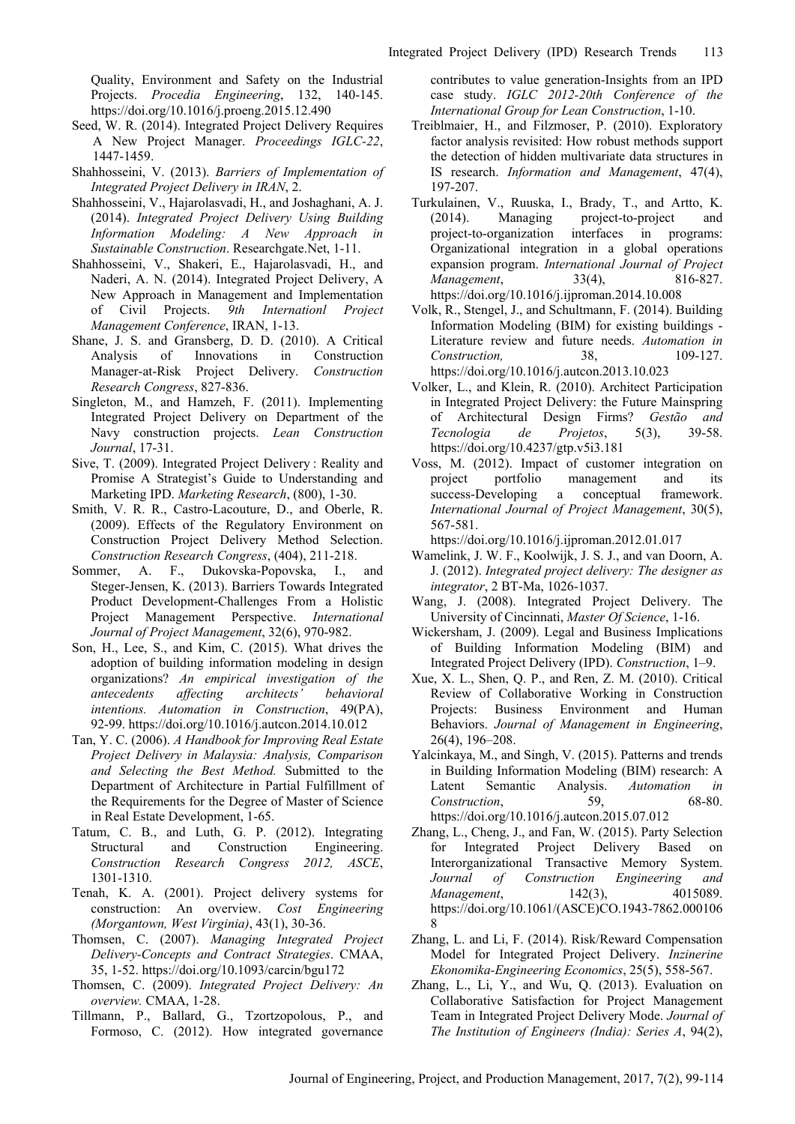Quality, Environment and Safety on the Industrial Projects. *Procedia Engineering*, 132, 140-145. https://doi.org/10.1016/j.proeng.2015.12.490

- Seed, W. R. (2014). Integrated Project Delivery Requires A New Project Manager. *Proceedings IGLC-22*, 1447-1459.
- Shahhosseini, V. (2013). *Barriers of Implementation of Integrated Project Delivery in IRAN*, 2.
- Shahhosseini, V., Hajarolasvadi, H., and Joshaghani, A. J. (2014). *Integrated Project Delivery Using Building Information Modeling: A New Approach in Sustainable Construction*. Researchgate.Net, 1-11.
- Shahhosseini, V., Shakeri, E., Hajarolasvadi, H., and Naderi, A. N. (2014). Integrated Project Delivery, A New Approach in Management and Implementation of Civil Projects. *9th Internationl Project Management Conference*, IRAN, 1-13.
- Shane, J. S. and Gransberg, D. D. (2010). A Critical Analysis of Innovations in Construction Manager-at-Risk Project Delivery. *Construction Research Congress*, 827-836.
- Singleton, M., and Hamzeh, F. (2011). Implementing Integrated Project Delivery on Department of the Navy construction projects. *Lean Construction Journal*, 17-31.
- Sive, T. (2009). Integrated Project Delivery : Reality and Promise A Strategist's Guide to Understanding and Marketing IPD. *Marketing Research*, (800), 1-30.
- Smith, V. R. R., Castro-Lacouture, D., and Oberle, R. (2009). Effects of the Regulatory Environment on Construction Project Delivery Method Selection. *Construction Research Congress*, (404), 211-218.
- Sommer, A. F., Dukovska-Popovska, I., and Steger-Jensen, K. (2013). Barriers Towards Integrated Product Development-Challenges From a Holistic Project Management Perspective. *International Journal of Project Management*, 32(6), 970-982.
- Son, H., Lee, S., and Kim, C. (2015). What drives the adoption of building information modeling in design organizations? *An empirical investigation of the antecedents affecting architects' behavioral intentions. Automation in Construction*, 49(PA), 92-99. https://doi.org/10.1016/j.autcon.2014.10.012
- Tan, Y. C. (2006). *A Handbook for Improving Real Estate Project Delivery in Malaysia: Analysis, Comparison and Selecting the Best Method.* Submitted to the Department of Architecture in Partial Fulfillment of the Requirements for the Degree of Master of Science in Real Estate Development, 1-65.
- Tatum, C. B., and Luth, G. P. (2012). Integrating Structural and Construction Engineering. *Construction Research Congress 2012, ASCE*, 1301-1310.
- Tenah, K. A. (2001). Project delivery systems for construction: An overview. *Cost Engineering (Morgantown, West Virginia)*, 43(1), 30-36.
- Thomsen, C. (2007). *Managing Integrated Project Delivery-Concepts and Contract Strategies*. CMAA, 35, 1-52. https://doi.org/10.1093/carcin/bgu172
- Thomsen, C. (2009). *Integrated Project Delivery: An overview.* CMAA, 1-28.
- Tillmann, P., Ballard, G., Tzortzopolous, P., and Formoso, C. (2012). How integrated governance

contributes to value generation-Insights from an IPD case study. *IGLC 2012-20th Conference of the International Group for Lean Construction*, 1-10.

- Treiblmaier, H., and Filzmoser, P. (2010). Exploratory factor analysis revisited: How robust methods support the detection of hidden multivariate data structures in IS research. *Information and Management*, 47(4), 197-207.
- Turkulainen, V., Ruuska, I., Brady, T., and Artto, K. (2014). Managing project-to-project and project-to-organization interfaces in programs: Organizational integration in a global operations expansion program. *International Journal of Project Management*, 33(4), 816-827. https://doi.org/10.1016/j.ijproman.2014.10.008
- Volk, R., Stengel, J., and Schultmann, F. (2014). Building Information Modeling (BIM) for existing buildings - Literature review and future needs. *Automation in Construction,* 38, 109-127. https://doi.org/10.1016/j.autcon.2013.10.023
- Volker, L., and Klein, R. (2010). Architect Participation in Integrated Project Delivery: the Future Mainspring of Architectural Design Firms? *Gestão and Tecnologia de Projetos*, 5(3), 39-58. https://doi.org/10.4237/gtp.v5i3.181
- Voss, M. (2012). Impact of customer integration on project portfolio management and its success-Developing a conceptual framework. *International Journal of Project Management*, 30(5), 567-581.

https://doi.org/10.1016/j.ijproman.2012.01.017

- Wamelink, J. W. F., Koolwijk, J. S. J., and van Doorn, A. J. (2012). *Integrated project delivery: The designer as integrator*, 2 BT-Ma, 1026-1037.
- Wang, J. (2008). Integrated Project Delivery. The University of Cincinnati, *Master Of Science*, 1-16.
- Wickersham, J. (2009). Legal and Business Implications of Building Information Modeling (BIM) and Integrated Project Delivery (IPD). *Construction*, 1–9.
- Xue, X. L., Shen, Q. P., and Ren, Z. M. (2010). Critical Review of Collaborative Working in Construction Projects: Business Environment and Human Behaviors. *Journal of Management in Engineering*, 26(4), 196–208.
- Yalcinkaya, M., and Singh, V. (2015). Patterns and trends in Building Information Modeling (BIM) research: A Latent Semantic Analysis. *Automation in Construction*, 59, 68-80. https://doi.org/10.1016/j.autcon.2015.07.012
- Zhang, L., Cheng, J., and Fan, W. (2015). Party Selection for Integrated Project Delivery Based on Interorganizational Transactive Memory System. *Journal of Construction Engineering and Management*, 142(3), 4015089. https://doi.org/10.1061/(ASCE)CO.1943-7862.000106 8
- Zhang, L. and Li, F. (2014). Risk/Reward Compensation Model for Integrated Project Delivery. *Inzinerine Ekonomika-Engineering Economics*, 25(5), 558-567.
- Zhang, L., Li, Y., and Wu, Q. (2013). Evaluation on Collaborative Satisfaction for Project Management Team in Integrated Project Delivery Mode. *Journal of The Institution of Engineers (India): Series A*, 94(2),